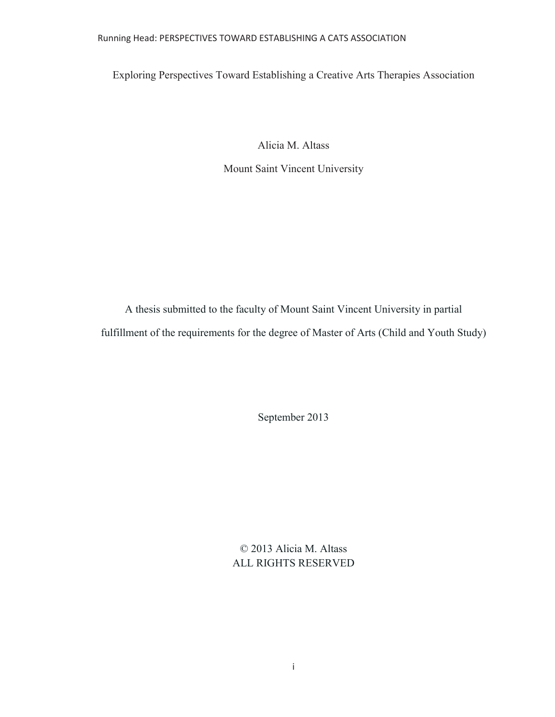## Running Head: PERSPECTIVES TOWARD ESTABLISHING A CATS ASSOCIATION

Exploring Perspectives Toward Establishing a Creative Arts Therapies Association

Alicia M. Altass

Mount Saint Vincent University

A thesis submitted to the faculty of Mount Saint Vincent University in partial fulfillment of the requirements for the degree of Master of Arts (Child and Youth Study)

September 2013

© 2013 Alicia M. Altass ALL RIGHTS RESERVED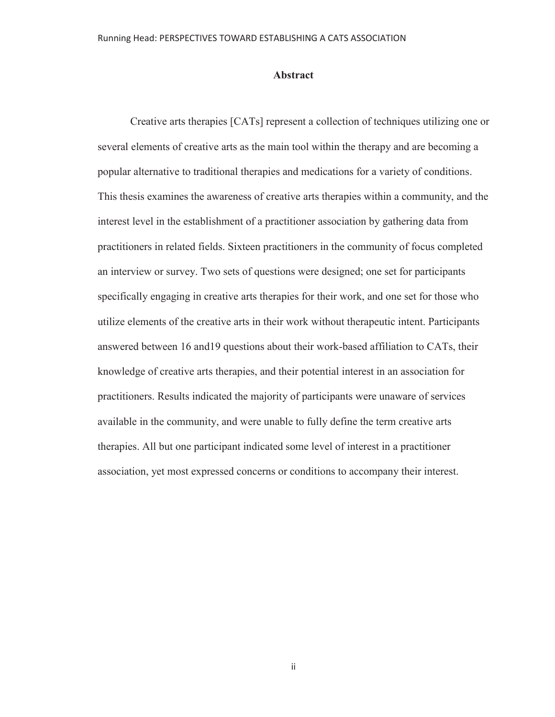## **Abstract**

 Creative arts therapies [CATs] represent a collection of techniques utilizing one or several elements of creative arts as the main tool within the therapy and are becoming a popular alternative to traditional therapies and medications for a variety of conditions. This thesis examines the awareness of creative arts therapies within a community, and the interest level in the establishment of a practitioner association by gathering data from practitioners in related fields. Sixteen practitioners in the community of focus completed an interview or survey. Two sets of questions were designed; one set for participants specifically engaging in creative arts therapies for their work, and one set for those who utilize elements of the creative arts in their work without therapeutic intent. Participants answered between 16 and19 questions about their work-based affiliation to CATs, their knowledge of creative arts therapies, and their potential interest in an association for practitioners. Results indicated the majority of participants were unaware of services available in the community, and were unable to fully define the term creative arts therapies. All but one participant indicated some level of interest in a practitioner association, yet most expressed concerns or conditions to accompany their interest.

ii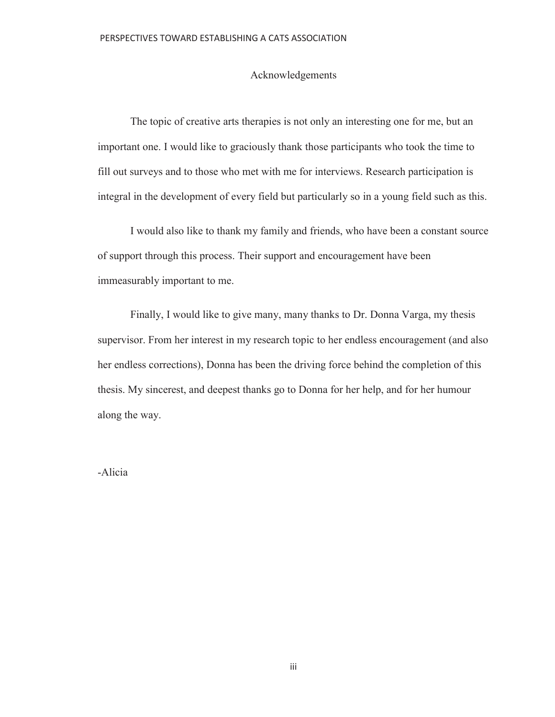## Acknowledgements

 The topic of creative arts therapies is not only an interesting one for me, but an important one. I would like to graciously thank those participants who took the time to fill out surveys and to those who met with me for interviews. Research participation is integral in the development of every field but particularly so in a young field such as this.

 I would also like to thank my family and friends, who have been a constant source of support through this process. Their support and encouragement have been immeasurably important to me.

 Finally, I would like to give many, many thanks to Dr. Donna Varga, my thesis supervisor. From her interest in my research topic to her endless encouragement (and also her endless corrections), Donna has been the driving force behind the completion of this thesis. My sincerest, and deepest thanks go to Donna for her help, and for her humour along the way.

-Alicia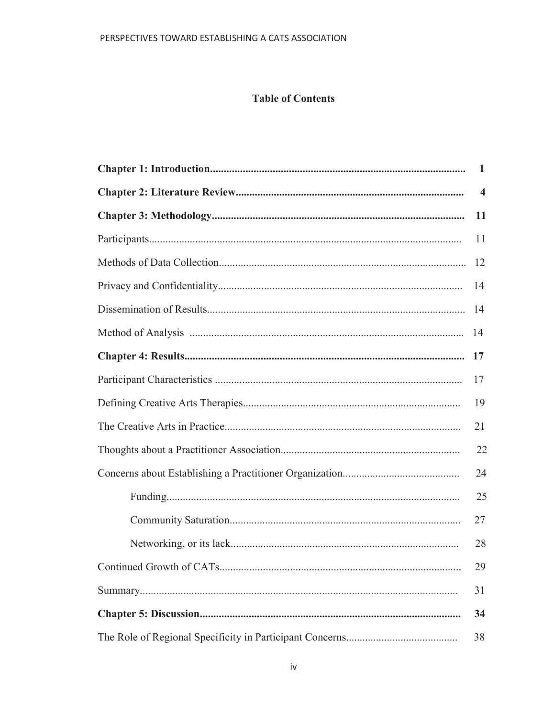# **Table of Contents**

| 1              |
|----------------|
| $\overline{4}$ |
| 11             |
| 11             |
| 12             |
| 14             |
| 14             |
| 14             |
| 17             |
| 17             |
| 19             |
| 21             |
| 22             |
| 24             |
| 25             |
| 27             |
| 28             |
| 29             |
| 31             |
| 34             |
| 38             |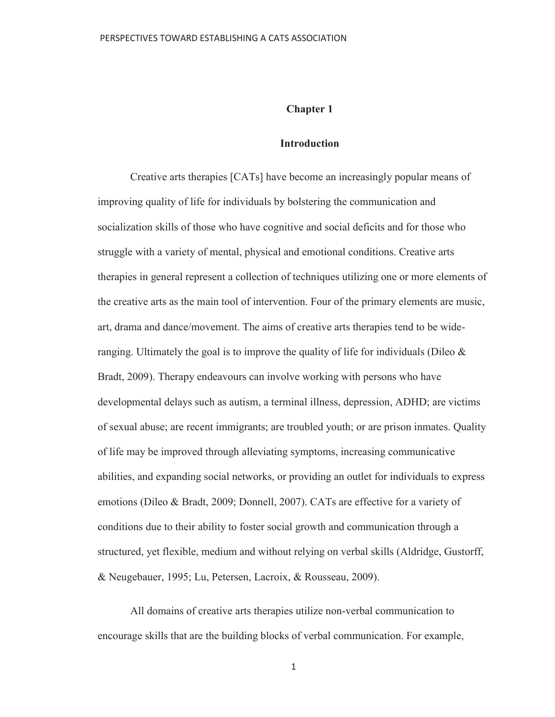### **Chapter 1**

### **Introduction**

Creative arts therapies [CATs] have become an increasingly popular means of improving quality of life for individuals by bolstering the communication and socialization skills of those who have cognitive and social deficits and for those who struggle with a variety of mental, physical and emotional conditions. Creative arts therapies in general represent a collection of techniques utilizing one or more elements of the creative arts as the main tool of intervention. Four of the primary elements are music, art, drama and dance/movement. The aims of creative arts therapies tend to be wideranging. Ultimately the goal is to improve the quality of life for individuals (Dileo  $\&$ Bradt, 2009). Therapy endeavours can involve working with persons who have developmental delays such as autism, a terminal illness, depression, ADHD; are victims of sexual abuse; are recent immigrants; are troubled youth; or are prison inmates. Quality of life may be improved through alleviating symptoms, increasing communicative abilities, and expanding social networks, or providing an outlet for individuals to express emotions (Dileo & Bradt, 2009; Donnell, 2007). CATs are effective for a variety of conditions due to their ability to foster social growth and communication through a structured, yet flexible, medium and without relying on verbal skills (Aldridge, Gustorff, & Neugebauer, 1995; Lu, Petersen, Lacroix, & Rousseau, 2009).

All domains of creative arts therapies utilize non-verbal communication to encourage skills that are the building blocks of verbal communication. For example,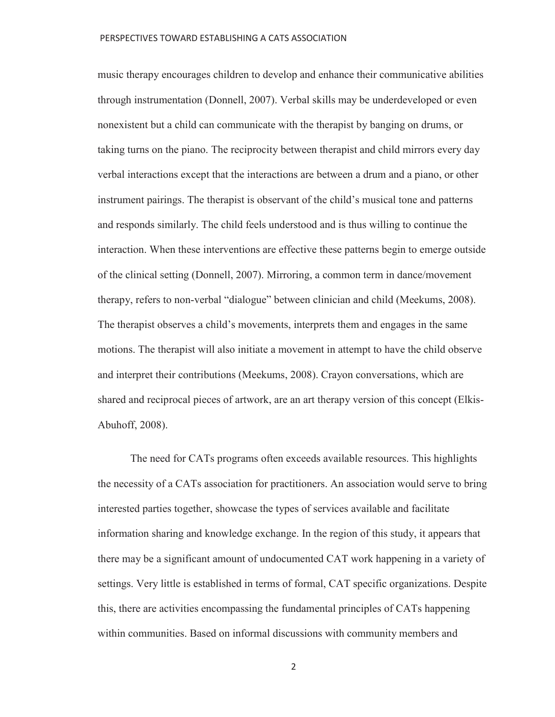music therapy encourages children to develop and enhance their communicative abilities through instrumentation (Donnell, 2007). Verbal skills may be underdeveloped or even nonexistent but a child can communicate with the therapist by banging on drums, or taking turns on the piano. The reciprocity between therapist and child mirrors every day verbal interactions except that the interactions are between a drum and a piano, or other instrument pairings. The therapist is observant of the child's musical tone and patterns and responds similarly. The child feels understood and is thus willing to continue the interaction. When these interventions are effective these patterns begin to emerge outside of the clinical setting (Donnell, 2007). Mirroring, a common term in dance/movement therapy, refers to non-verbal "dialogue" between clinician and child (Meekums, 2008). The therapist observes a child's movements, interprets them and engages in the same motions. The therapist will also initiate a movement in attempt to have the child observe and interpret their contributions (Meekums, 2008). Crayon conversations, which are shared and reciprocal pieces of artwork, are an art therapy version of this concept (Elkis-Abuhoff, 2008).

The need for CATs programs often exceeds available resources. This highlights the necessity of a CATs association for practitioners. An association would serve to bring interested parties together, showcase the types of services available and facilitate information sharing and knowledge exchange. In the region of this study, it appears that there may be a significant amount of undocumented CAT work happening in a variety of settings. Very little is established in terms of formal, CAT specific organizations. Despite this, there are activities encompassing the fundamental principles of CATs happening within communities. Based on informal discussions with community members and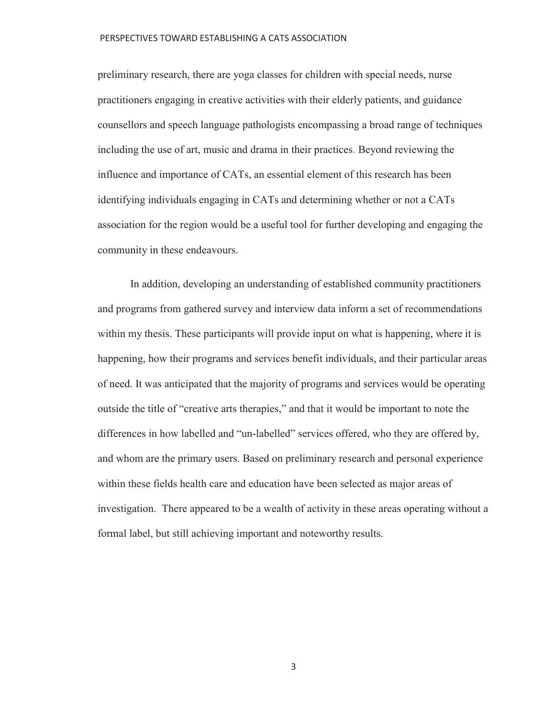preliminary research, there are yoga classes for children with special needs, nurse practitioners engaging in creative activities with their elderly patients, and guidance counsellors and speech language pathologists encompassing a broad range of techniques including the use of art, music and drama in their practices. Beyond reviewing the influence and importance of CATs, an essential element of this research has been identifying individuals engaging in CATs and determining whether or not a CATs association for the region would be a useful tool for further developing and engaging the community in these endeavours.

In addition, developing an understanding of established community practitioners and programs from gathered survey and interview data inform a set of recommendations within my thesis. These participants will provide input on what is happening, where it is happening, how their programs and services benefit individuals, and their particular areas of need. It was anticipated that the majority of programs and services would be operating outside the title of "creative arts therapies," and that it would be important to note the differences in how labelled and "un-labelled" services offered, who they are offered by, and whom are the primary users. Based on preliminary research and personal experience within these fields health care and education have been selected as major areas of investigation. There appeared to be a wealth of activity in these areas operating without a formal label, but still achieving important and noteworthy results.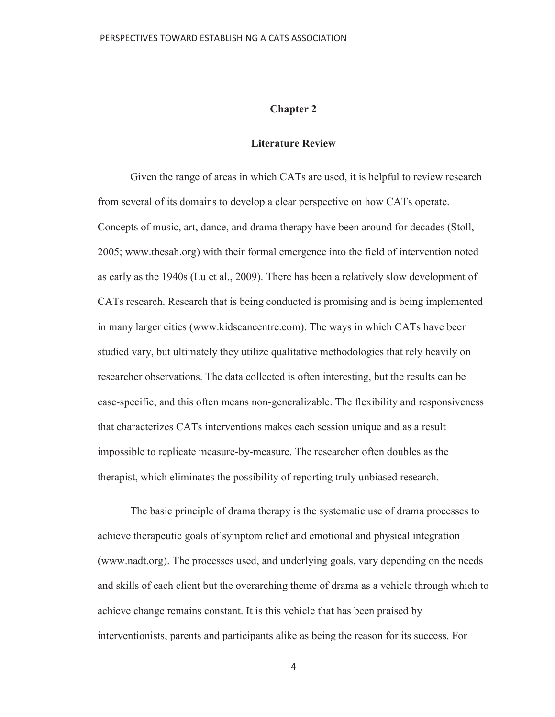## **Chapter 2**

### **Literature Review**

 Given the range of areas in which CATs are used, it is helpful to review research from several of its domains to develop a clear perspective on how CATs operate. Concepts of music, art, dance, and drama therapy have been around for decades (Stoll, 2005; www.thesah.org) with their formal emergence into the field of intervention noted as early as the 1940s (Lu et al., 2009). There has been a relatively slow development of CATs research. Research that is being conducted is promising and is being implemented in many larger cities (www.kidscancentre.com). The ways in which CATs have been studied vary, but ultimately they utilize qualitative methodologies that rely heavily on researcher observations. The data collected is often interesting, but the results can be case-specific, and this often means non-generalizable. The flexibility and responsiveness that characterizes CATs interventions makes each session unique and as a result impossible to replicate measure-by-measure. The researcher often doubles as the therapist, which eliminates the possibility of reporting truly unbiased research.

 The basic principle of drama therapy is the systematic use of drama processes to achieve therapeutic goals of symptom relief and emotional and physical integration (www.nadt.org). The processes used, and underlying goals, vary depending on the needs and skills of each client but the overarching theme of drama as a vehicle through which to achieve change remains constant. It is this vehicle that has been praised by interventionists, parents and participants alike as being the reason for its success. For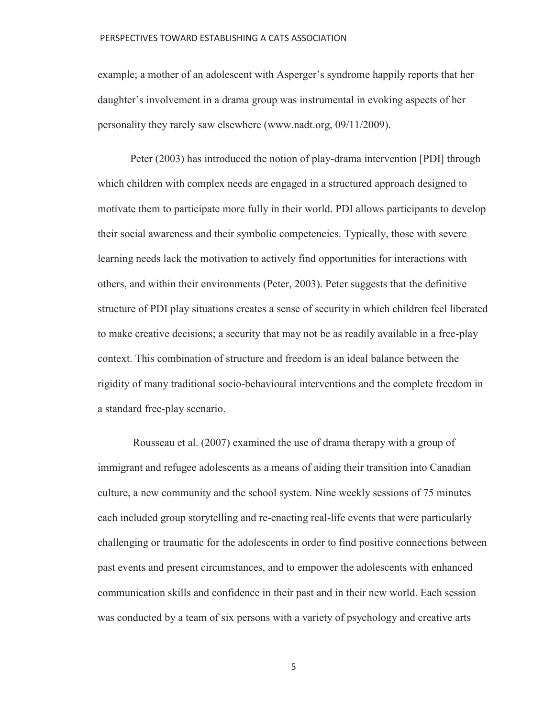example; a mother of an adolescent with Asperger's syndrome happily reports that her daughter's involvement in a drama group was instrumental in evoking aspects of her personality they rarely saw elsewhere (www.nadt.org, 09/11/2009).

Peter (2003) has introduced the notion of play-drama intervention [PDI] through which children with complex needs are engaged in a structured approach designed to motivate them to participate more fully in their world. PDI allows participants to develop their social awareness and their symbolic competencies. Typically, those with severe learning needs lack the motivation to actively find opportunities for interactions with others, and within their environments (Peter, 2003). Peter suggests that the definitive structure of PDI play situations creates a sense of security in which children feel liberated to make creative decisions; a security that may not be as readily available in a free-play context. This combination of structure and freedom is an ideal balance between the rigidity of many traditional socio-behavioural interventions and the complete freedom in a standard free-play scenario.

 Rousseau et al. (2007) examined the use of drama therapy with a group of immigrant and refugee adolescents as a means of aiding their transition into Canadian culture, a new community and the school system. Nine weekly sessions of 75 minutes each included group storytelling and re-enacting real-life events that were particularly challenging or traumatic for the adolescents in order to find positive connections between past events and present circumstances, and to empower the adolescents with enhanced communication skills and confidence in their past and in their new world. Each session was conducted by a team of six persons with a variety of psychology and creative arts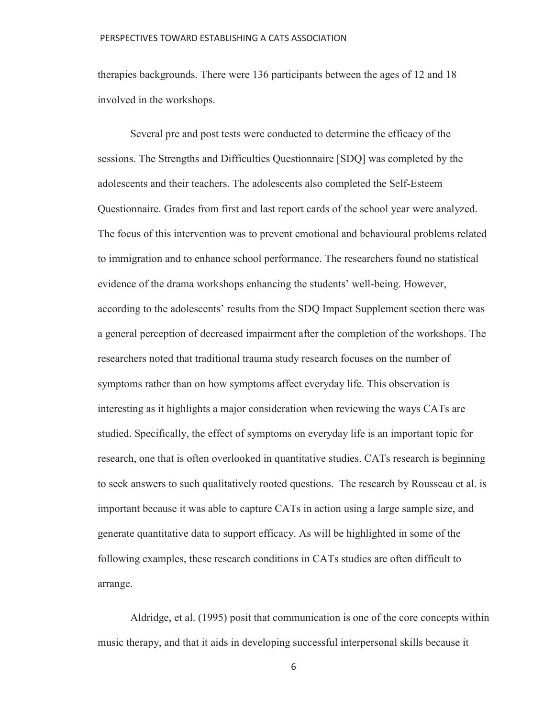therapies backgrounds. There were 136 participants between the ages of 12 and 18 involved in the workshops.

Several pre and post tests were conducted to determine the efficacy of the sessions. The Strengths and Difficulties Questionnaire [SDQ] was completed by the adolescents and their teachers. The adolescents also completed the Self-Esteem Questionnaire. Grades from first and last report cards of the school year were analyzed. The focus of this intervention was to prevent emotional and behavioural problems related to immigration and to enhance school performance. The researchers found no statistical evidence of the drama workshops enhancing the students' well-being. However, according to the adolescents' results from the SDQ Impact Supplement section there was a general perception of decreased impairment after the completion of the workshops. The researchers noted that traditional trauma study research focuses on the number of symptoms rather than on how symptoms affect everyday life. This observation is interesting as it highlights a major consideration when reviewing the ways CATs are studied. Specifically, the effect of symptoms on everyday life is an important topic for research, one that is often overlooked in quantitative studies. CATs research is beginning to seek answers to such qualitatively rooted questions. The research by Rousseau et al. is important because it was able to capture CATs in action using a large sample size, and generate quantitative data to support efficacy. As will be highlighted in some of the following examples, these research conditions in CATs studies are often difficult to arrange.

Aldridge, et al. (1995) posit that communication is one of the core concepts within music therapy, and that it aids in developing successful interpersonal skills because it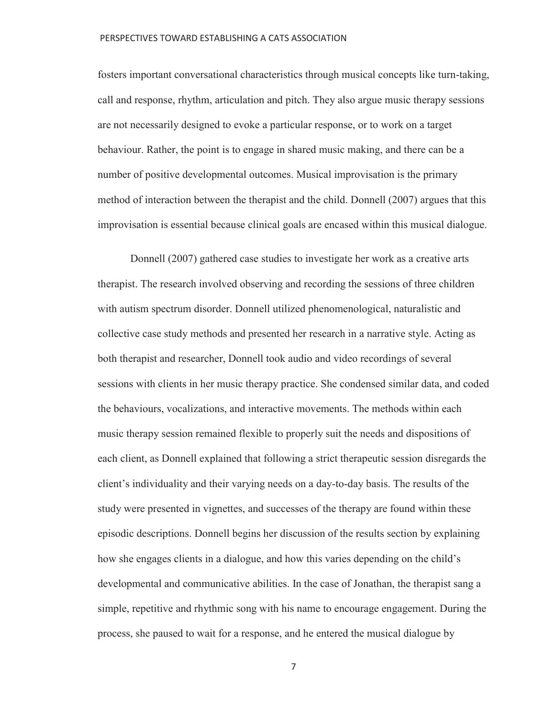fosters important conversational characteristics through musical concepts like turn-taking, call and response, rhythm, articulation and pitch. They also argue music therapy sessions are not necessarily designed to evoke a particular response, or to work on a target behaviour. Rather, the point is to engage in shared music making, and there can be a number of positive developmental outcomes. Musical improvisation is the primary method of interaction between the therapist and the child. Donnell (2007) argues that this improvisation is essential because clinical goals are encased within this musical dialogue.

Donnell (2007) gathered case studies to investigate her work as a creative arts therapist. The research involved observing and recording the sessions of three children with autism spectrum disorder. Donnell utilized phenomenological, naturalistic and collective case study methods and presented her research in a narrative style. Acting as both therapist and researcher, Donnell took audio and video recordings of several sessions with clients in her music therapy practice. She condensed similar data, and coded the behaviours, vocalizations, and interactive movements. The methods within each music therapy session remained flexible to properly suit the needs and dispositions of each client, as Donnell explained that following a strict therapeutic session disregards the client's individuality and their varying needs on a day-to-day basis. The results of the study were presented in vignettes, and successes of the therapy are found within these episodic descriptions. Donnell begins her discussion of the results section by explaining how she engages clients in a dialogue, and how this varies depending on the child's developmental and communicative abilities. In the case of Jonathan, the therapist sang a simple, repetitive and rhythmic song with his name to encourage engagement. During the process, she paused to wait for a response, and he entered the musical dialogue by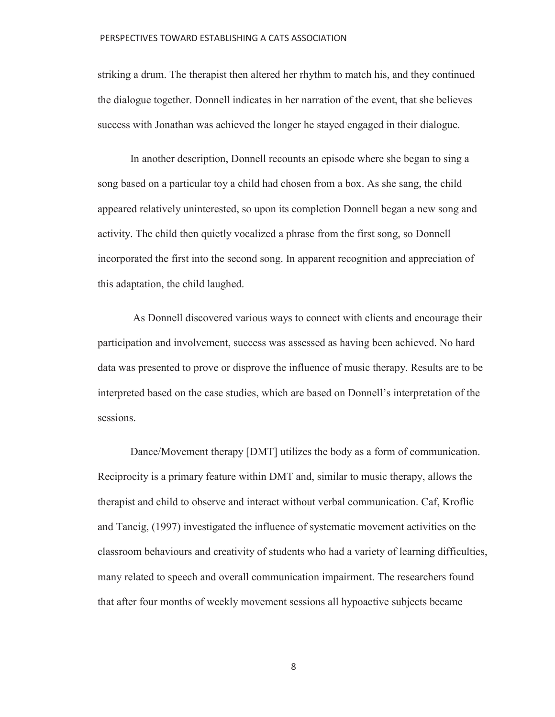striking a drum. The therapist then altered her rhythm to match his, and they continued the dialogue together. Donnell indicates in her narration of the event, that she believes success with Jonathan was achieved the longer he stayed engaged in their dialogue.

In another description, Donnell recounts an episode where she began to sing a song based on a particular toy a child had chosen from a box. As she sang, the child appeared relatively uninterested, so upon its completion Donnell began a new song and activity. The child then quietly vocalized a phrase from the first song, so Donnell incorporated the first into the second song. In apparent recognition and appreciation of this adaptation, the child laughed.

 As Donnell discovered various ways to connect with clients and encourage their participation and involvement, success was assessed as having been achieved. No hard data was presented to prove or disprove the influence of music therapy. Results are to be interpreted based on the case studies, which are based on Donnell's interpretation of the sessions.

Dance/Movement therapy [DMT] utilizes the body as a form of communication. Reciprocity is a primary feature within DMT and, similar to music therapy, allows the therapist and child to observe and interact without verbal communication. Caf, Kroflic and Tancig, (1997) investigated the influence of systematic movement activities on the classroom behaviours and creativity of students who had a variety of learning difficulties, many related to speech and overall communication impairment. The researchers found that after four months of weekly movement sessions all hypoactive subjects became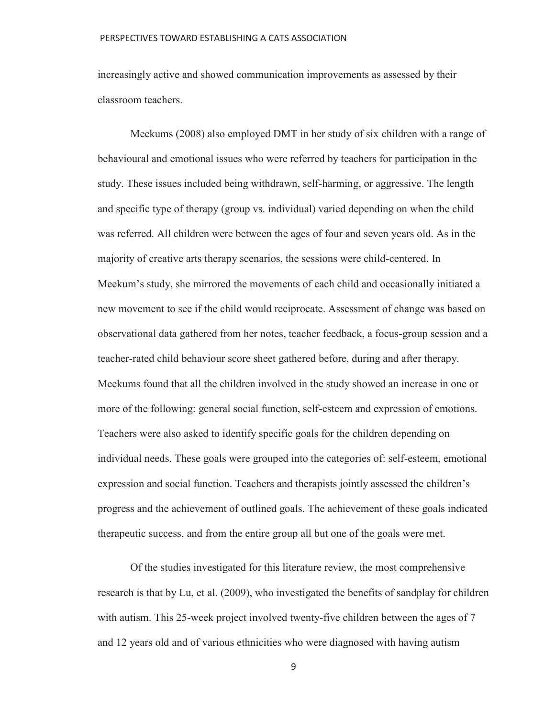increasingly active and showed communication improvements as assessed by their classroom teachers.

Meekums (2008) also employed DMT in her study of six children with a range of behavioural and emotional issues who were referred by teachers for participation in the study. These issues included being withdrawn, self-harming, or aggressive. The length and specific type of therapy (group vs. individual) varied depending on when the child was referred. All children were between the ages of four and seven years old. As in the majority of creative arts therapy scenarios, the sessions were child-centered. In Meekum's study, she mirrored the movements of each child and occasionally initiated a new movement to see if the child would reciprocate. Assessment of change was based on observational data gathered from her notes, teacher feedback, a focus-group session and a teacher-rated child behaviour score sheet gathered before, during and after therapy. Meekums found that all the children involved in the study showed an increase in one or more of the following: general social function, self-esteem and expression of emotions. Teachers were also asked to identify specific goals for the children depending on individual needs. These goals were grouped into the categories of: self-esteem, emotional expression and social function. Teachers and therapists jointly assessed the children's progress and the achievement of outlined goals. The achievement of these goals indicated therapeutic success, and from the entire group all but one of the goals were met.

Of the studies investigated for this literature review, the most comprehensive research is that by Lu, et al. (2009), who investigated the benefits of sandplay for children with autism. This 25-week project involved twenty-five children between the ages of 7 and 12 years old and of various ethnicities who were diagnosed with having autism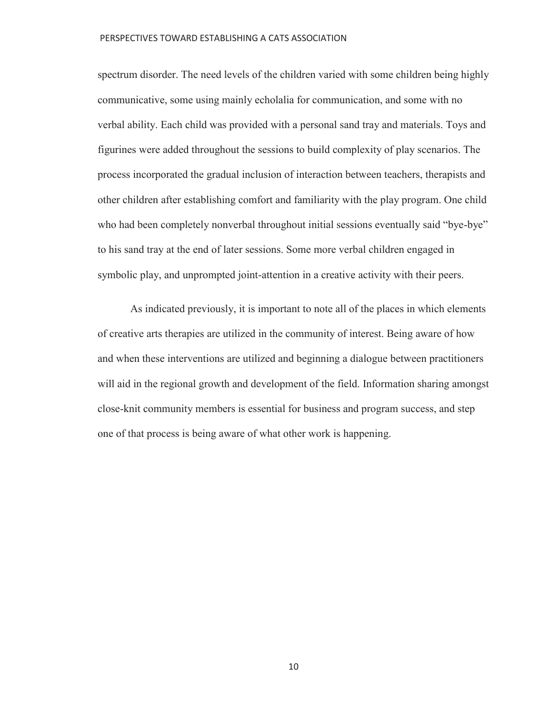spectrum disorder. The need levels of the children varied with some children being highly communicative, some using mainly echolalia for communication, and some with no verbal ability. Each child was provided with a personal sand tray and materials. Toys and figurines were added throughout the sessions to build complexity of play scenarios. The process incorporated the gradual inclusion of interaction between teachers, therapists and other children after establishing comfort and familiarity with the play program. One child who had been completely nonverbal throughout initial sessions eventually said "bye-bye" to his sand tray at the end of later sessions. Some more verbal children engaged in symbolic play, and unprompted joint-attention in a creative activity with their peers.

 As indicated previously, it is important to note all of the places in which elements of creative arts therapies are utilized in the community of interest. Being aware of how and when these interventions are utilized and beginning a dialogue between practitioners will aid in the regional growth and development of the field. Information sharing amongst close-knit community members is essential for business and program success, and step one of that process is being aware of what other work is happening.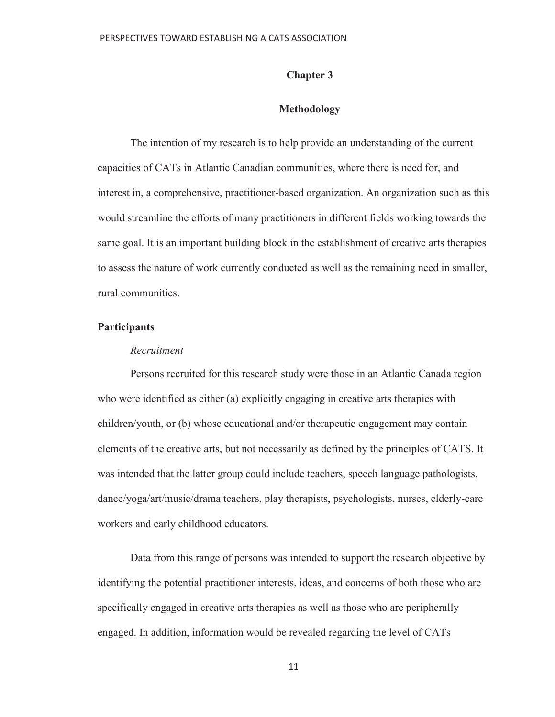## **Chapter 3**

## **Methodology**

The intention of my research is to help provide an understanding of the current capacities of CATs in Atlantic Canadian communities, where there is need for, and interest in, a comprehensive, practitioner-based organization. An organization such as this would streamline the efforts of many practitioners in different fields working towards the same goal. It is an important building block in the establishment of creative arts therapies to assess the nature of work currently conducted as well as the remaining need in smaller, rural communities.

## **Participants**

### *Recruitment*

Persons recruited for this research study were those in an Atlantic Canada region who were identified as either (a) explicitly engaging in creative arts therapies with children/youth, or (b) whose educational and/or therapeutic engagement may contain elements of the creative arts, but not necessarily as defined by the principles of CATS. It was intended that the latter group could include teachers, speech language pathologists, dance/yoga/art/music/drama teachers, play therapists, psychologists, nurses, elderly-care workers and early childhood educators.

Data from this range of persons was intended to support the research objective by identifying the potential practitioner interests, ideas, and concerns of both those who are specifically engaged in creative arts therapies as well as those who are peripherally engaged. In addition, information would be revealed regarding the level of CATs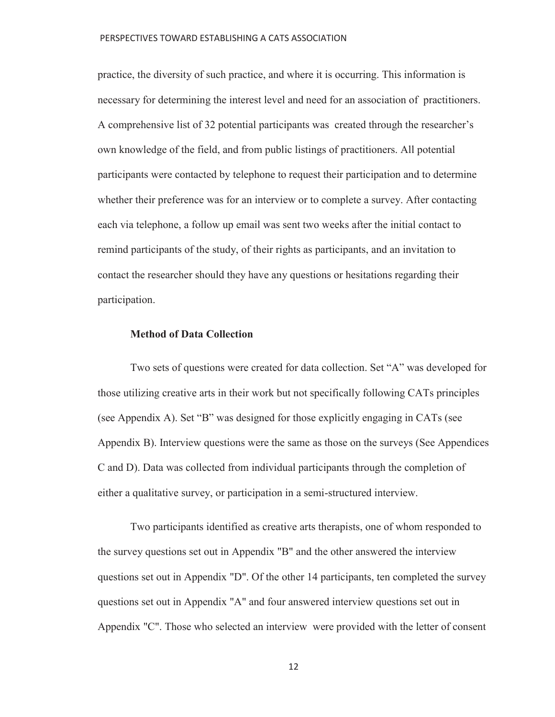practice, the diversity of such practice, and where it is occurring. This information is necessary for determining the interest level and need for an association of practitioners. A comprehensive list of 32 potential participants was created through the researcher's own knowledge of the field, and from public listings of practitioners. All potential participants were contacted by telephone to request their participation and to determine whether their preference was for an interview or to complete a survey. After contacting each via telephone, a follow up email was sent two weeks after the initial contact to remind participants of the study, of their rights as participants, and an invitation to contact the researcher should they have any questions or hesitations regarding their participation.

## **Method of Data Collection**

Two sets of questions were created for data collection. Set "A" was developed for those utilizing creative arts in their work but not specifically following CATs principles (see Appendix A). Set "B" was designed for those explicitly engaging in CATs (see Appendix B). Interview questions were the same as those on the surveys (See Appendices C and D). Data was collected from individual participants through the completion of either a qualitative survey, or participation in a semi-structured interview.

Two participants identified as creative arts therapists, one of whom responded to the survey questions set out in Appendix "B" and the other answered the interview questions set out in Appendix "D". Of the other 14 participants, ten completed the survey questions set out in Appendix "A" and four answered interview questions set out in Appendix "C". Those who selected an interview were provided with the letter of consent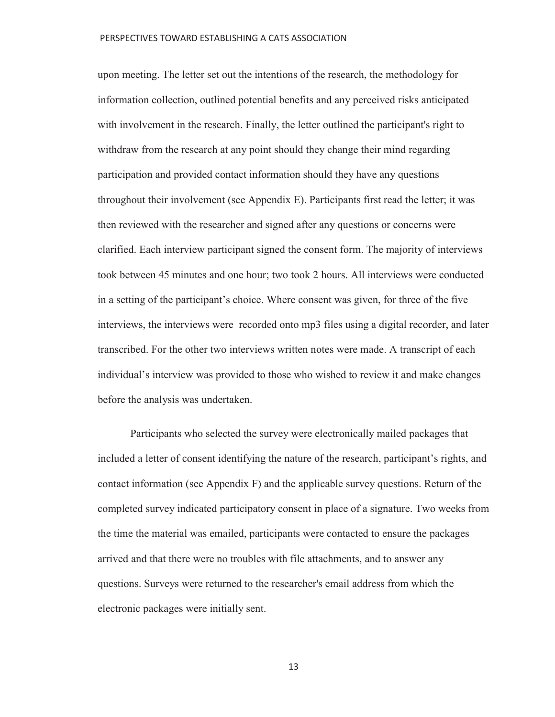upon meeting. The letter set out the intentions of the research, the methodology for information collection, outlined potential benefits and any perceived risks anticipated with involvement in the research. Finally, the letter outlined the participant's right to withdraw from the research at any point should they change their mind regarding participation and provided contact information should they have any questions throughout their involvement (see Appendix E). Participants first read the letter; it was then reviewed with the researcher and signed after any questions or concerns were clarified. Each interview participant signed the consent form. The majority of interviews took between 45 minutes and one hour; two took 2 hours. All interviews were conducted in a setting of the participant's choice. Where consent was given, for three of the five interviews, the interviews were recorded onto mp3 files using a digital recorder, and later transcribed. For the other two interviews written notes were made. A transcript of each individual's interview was provided to those who wished to review it and make changes before the analysis was undertaken.

Participants who selected the survey were electronically mailed packages that included a letter of consent identifying the nature of the research, participant's rights, and contact information (see Appendix F) and the applicable survey questions. Return of the completed survey indicated participatory consent in place of a signature. Two weeks from the time the material was emailed, participants were contacted to ensure the packages arrived and that there were no troubles with file attachments, and to answer any questions. Surveys were returned to the researcher's email address from which the electronic packages were initially sent.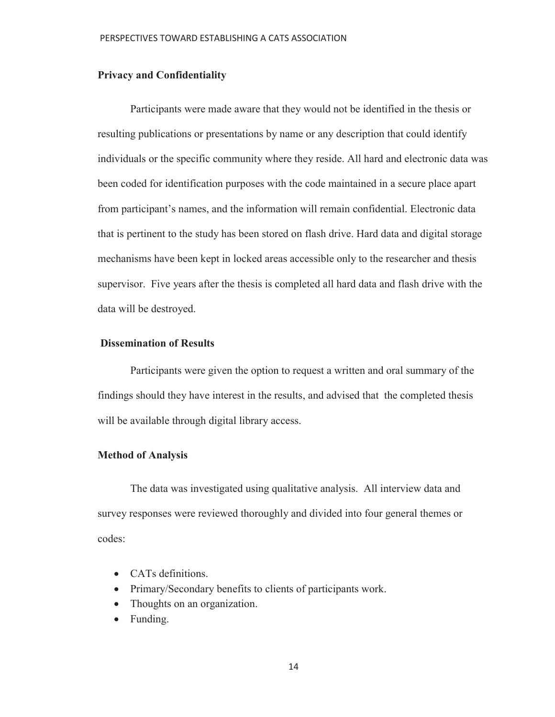## **Privacy and Confidentiality**

Participants were made aware that they would not be identified in the thesis or resulting publications or presentations by name or any description that could identify individuals or the specific community where they reside. All hard and electronic data was been coded for identification purposes with the code maintained in a secure place apart from participant's names, and the information will remain confidential. Electronic data that is pertinent to the study has been stored on flash drive. Hard data and digital storage mechanisms have been kept in locked areas accessible only to the researcher and thesis supervisor. Five years after the thesis is completed all hard data and flash drive with the data will be destroyed.

## **Dissemination of Results**

Participants were given the option to request a written and oral summary of the findings should they have interest in the results, and advised that the completed thesis will be available through digital library access.

### **Method of Analysis**

 The data was investigated using qualitative analysis. All interview data and survey responses were reviewed thoroughly and divided into four general themes or codes:

- CATs definitions.
- Primary/Secondary benefits to clients of participants work.
- Thoughts on an organization.
- $\bullet$  Funding.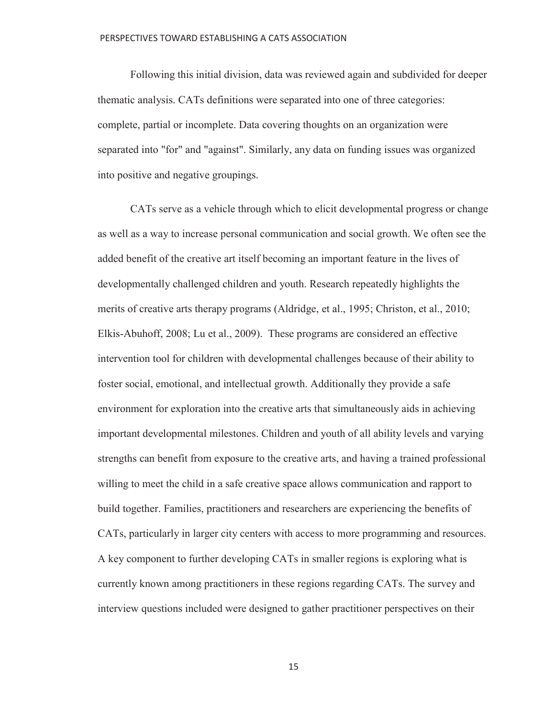Following this initial division, data was reviewed again and subdivided for deeper thematic analysis. CATs definitions were separated into one of three categories: complete, partial or incomplete. Data covering thoughts on an organization were separated into "for" and "against". Similarly, any data on funding issues was organized into positive and negative groupings.

CATs serve as a vehicle through which to elicit developmental progress or change as well as a way to increase personal communication and social growth. We often see the added benefit of the creative art itself becoming an important feature in the lives of developmentally challenged children and youth. Research repeatedly highlights the merits of creative arts therapy programs (Aldridge, et al., 1995; Christon, et al., 2010; Elkis-Abuhoff, 2008; Lu et al., 2009). These programs are considered an effective intervention tool for children with developmental challenges because of their ability to foster social, emotional, and intellectual growth. Additionally they provide a safe environment for exploration into the creative arts that simultaneously aids in achieving important developmental milestones. Children and youth of all ability levels and varying strengths can benefit from exposure to the creative arts, and having a trained professional willing to meet the child in a safe creative space allows communication and rapport to build together. Families, practitioners and researchers are experiencing the benefits of CATs, particularly in larger city centers with access to more programming and resources. A key component to further developing CATs in smaller regions is exploring what is currently known among practitioners in these regions regarding CATs. The survey and interview questions included were designed to gather practitioner perspectives on their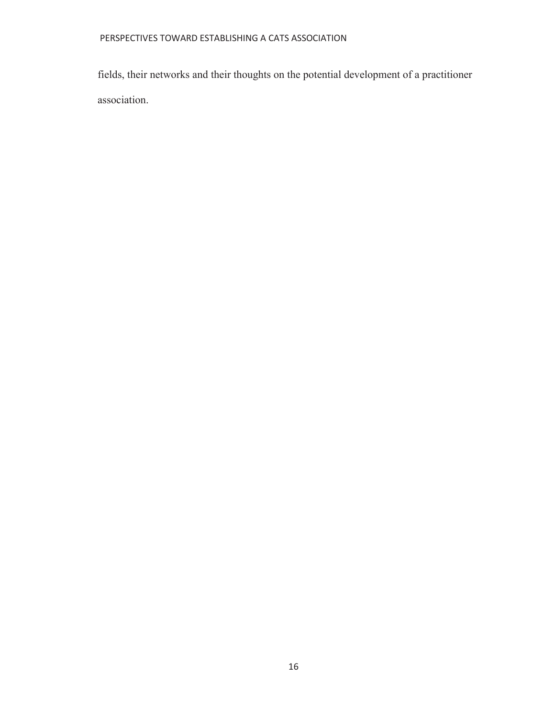fields, their networks and their thoughts on the potential development of a practitioner association.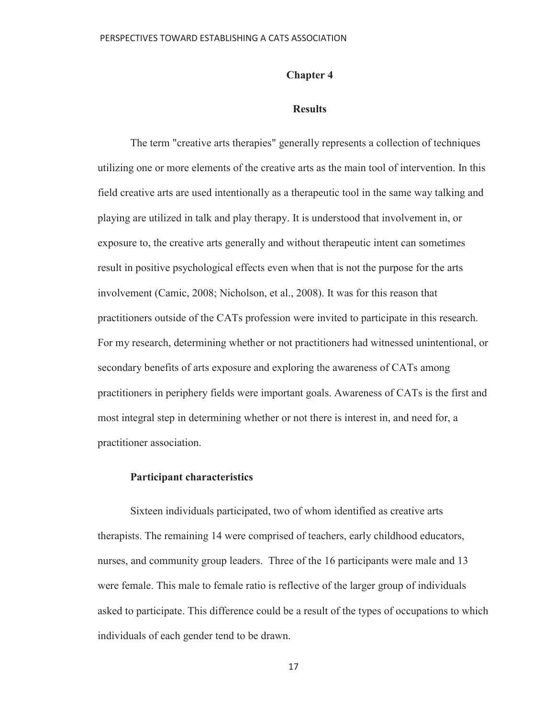## **Chapter 4**

## **Results**

The term "creative arts therapies" generally represents a collection of techniques utilizing one or more elements of the creative arts as the main tool of intervention. In this field creative arts are used intentionally as a therapeutic tool in the same way talking and playing are utilized in talk and play therapy. It is understood that involvement in, or exposure to, the creative arts generally and without therapeutic intent can sometimes result in positive psychological effects even when that is not the purpose for the arts involvement (Camic, 2008; Nicholson, et al., 2008). It was for this reason that practitioners outside of the CATs profession were invited to participate in this research. For my research, determining whether or not practitioners had witnessed unintentional, or secondary benefits of arts exposure and exploring the awareness of CATs among practitioners in periphery fields were important goals. Awareness of CATs is the first and most integral step in determining whether or not there is interest in, and need for, a practitioner association.

## **Participant characteristics**

Sixteen individuals participated, two of whom identified as creative arts therapists. The remaining 14 were comprised of teachers, early childhood educators, nurses, and community group leaders. Three of the 16 participants were male and 13 were female. This male to female ratio is reflective of the larger group of individuals asked to participate. This difference could be a result of the types of occupations to which individuals of each gender tend to be drawn.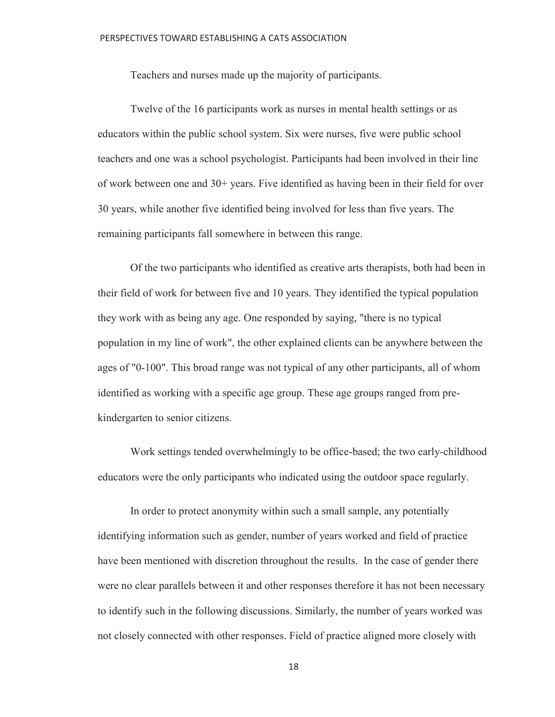Teachers and nurses made up the majority of participants.

 Twelve of the 16 participants work as nurses in mental health settings or as educators within the public school system. Six were nurses, five were public school teachers and one was a school psychologist. Participants had been involved in their line of work between one and 30+ years. Five identified as having been in their field for over 30 years, while another five identified being involved for less than five years. The remaining participants fall somewhere in between this range.

 Of the two participants who identified as creative arts therapists, both had been in their field of work for between five and 10 years. They identified the typical population they work with as being any age. One responded by saying, "there is no typical population in my line of work", the other explained clients can be anywhere between the ages of "0-100". This broad range was not typical of any other participants, all of whom identified as working with a specific age group. These age groups ranged from prekindergarten to senior citizens.

 Work settings tended overwhelmingly to be office-based; the two early-childhood educators were the only participants who indicated using the outdoor space regularly.

 In order to protect anonymity within such a small sample, any potentially identifying information such as gender, number of years worked and field of practice have been mentioned with discretion throughout the results. In the case of gender there were no clear parallels between it and other responses therefore it has not been necessary to identify such in the following discussions. Similarly, the number of years worked was not closely connected with other responses. Field of practice aligned more closely with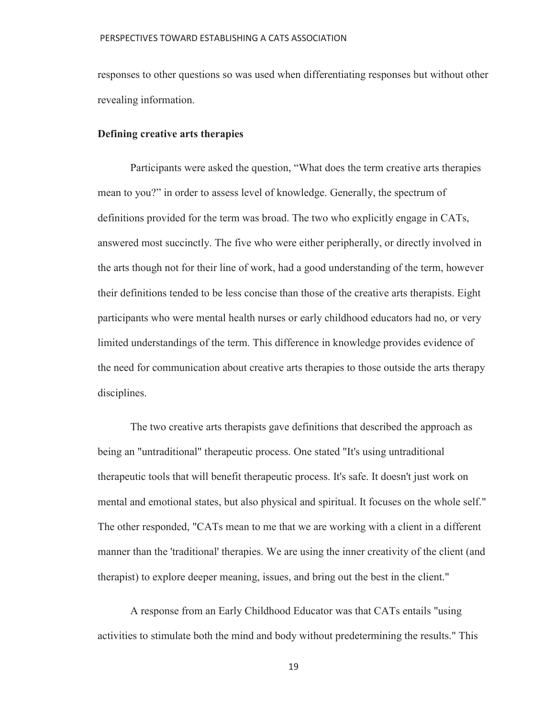responses to other questions so was used when differentiating responses but without other revealing information.

### **Defining creative arts therapies**

Participants were asked the question, "What does the term creative arts therapies mean to you?" in order to assess level of knowledge. Generally, the spectrum of definitions provided for the term was broad. The two who explicitly engage in CATs, answered most succinctly. The five who were either peripherally, or directly involved in the arts though not for their line of work, had a good understanding of the term, however their definitions tended to be less concise than those of the creative arts therapists. Eight participants who were mental health nurses or early childhood educators had no, or very limited understandings of the term. This difference in knowledge provides evidence of the need for communication about creative arts therapies to those outside the arts therapy disciplines.

 The two creative arts therapists gave definitions that described the approach as being an "untraditional" therapeutic process. One stated "It's using untraditional therapeutic tools that will benefit therapeutic process. It's safe. It doesn't just work on mental and emotional states, but also physical and spiritual. It focuses on the whole self." The other responded, "CATs mean to me that we are working with a client in a different manner than the 'traditional' therapies. We are using the inner creativity of the client (and therapist) to explore deeper meaning, issues, and bring out the best in the client."

 A response from an Early Childhood Educator was that CATs entails "using activities to stimulate both the mind and body without predetermining the results." This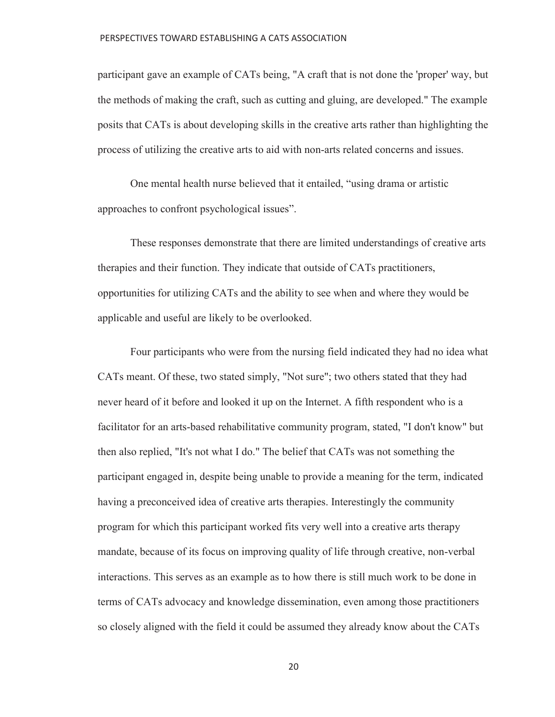participant gave an example of CATs being, "A craft that is not done the 'proper' way, but the methods of making the craft, such as cutting and gluing, are developed." The example posits that CATs is about developing skills in the creative arts rather than highlighting the process of utilizing the creative arts to aid with non-arts related concerns and issues.

One mental health nurse believed that it entailed, "using drama or artistic approaches to confront psychological issues".

 These responses demonstrate that there are limited understandings of creative arts therapies and their function. They indicate that outside of CATs practitioners, opportunities for utilizing CATs and the ability to see when and where they would be applicable and useful are likely to be overlooked.

 Four participants who were from the nursing field indicated they had no idea what CATs meant. Of these, two stated simply, "Not sure"; two others stated that they had never heard of it before and looked it up on the Internet. A fifth respondent who is a facilitator for an arts-based rehabilitative community program, stated, "I don't know" but then also replied, "It's not what I do." The belief that CATs was not something the participant engaged in, despite being unable to provide a meaning for the term, indicated having a preconceived idea of creative arts therapies. Interestingly the community program for which this participant worked fits very well into a creative arts therapy mandate, because of its focus on improving quality of life through creative, non-verbal interactions. This serves as an example as to how there is still much work to be done in terms of CATs advocacy and knowledge dissemination, even among those practitioners so closely aligned with the field it could be assumed they already know about the CATs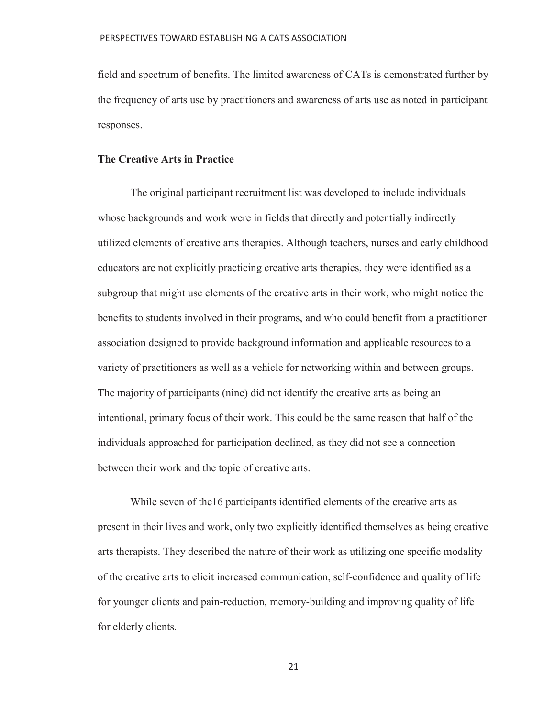field and spectrum of benefits. The limited awareness of CATs is demonstrated further by the frequency of arts use by practitioners and awareness of arts use as noted in participant responses.

## **The Creative Arts in Practice**

 The original participant recruitment list was developed to include individuals whose backgrounds and work were in fields that directly and potentially indirectly utilized elements of creative arts therapies. Although teachers, nurses and early childhood educators are not explicitly practicing creative arts therapies, they were identified as a subgroup that might use elements of the creative arts in their work, who might notice the benefits to students involved in their programs, and who could benefit from a practitioner association designed to provide background information and applicable resources to a variety of practitioners as well as a vehicle for networking within and between groups. The majority of participants (nine) did not identify the creative arts as being an intentional, primary focus of their work. This could be the same reason that half of the individuals approached for participation declined, as they did not see a connection between their work and the topic of creative arts.

 While seven of the16 participants identified elements of the creative arts as present in their lives and work, only two explicitly identified themselves as being creative arts therapists. They described the nature of their work as utilizing one specific modality of the creative arts to elicit increased communication, self-confidence and quality of life for younger clients and pain-reduction, memory-building and improving quality of life for elderly clients.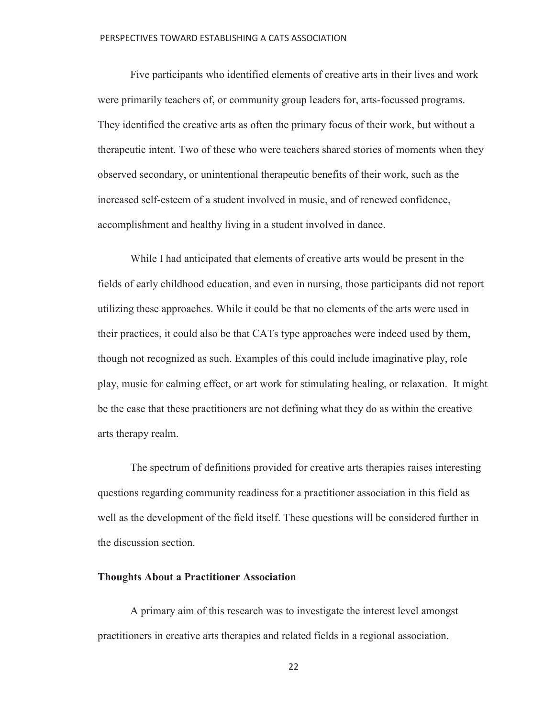Five participants who identified elements of creative arts in their lives and work were primarily teachers of, or community group leaders for, arts-focussed programs. They identified the creative arts as often the primary focus of their work, but without a therapeutic intent. Two of these who were teachers shared stories of moments when they observed secondary, or unintentional therapeutic benefits of their work, such as the increased self-esteem of a student involved in music, and of renewed confidence, accomplishment and healthy living in a student involved in dance.

 While I had anticipated that elements of creative arts would be present in the fields of early childhood education, and even in nursing, those participants did not report utilizing these approaches. While it could be that no elements of the arts were used in their practices, it could also be that CATs type approaches were indeed used by them, though not recognized as such. Examples of this could include imaginative play, role play, music for calming effect, or art work for stimulating healing, or relaxation. It might be the case that these practitioners are not defining what they do as within the creative arts therapy realm.

 The spectrum of definitions provided for creative arts therapies raises interesting questions regarding community readiness for a practitioner association in this field as well as the development of the field itself. These questions will be considered further in the discussion section.

## **Thoughts About a Practitioner Association**

 A primary aim of this research was to investigate the interest level amongst practitioners in creative arts therapies and related fields in a regional association.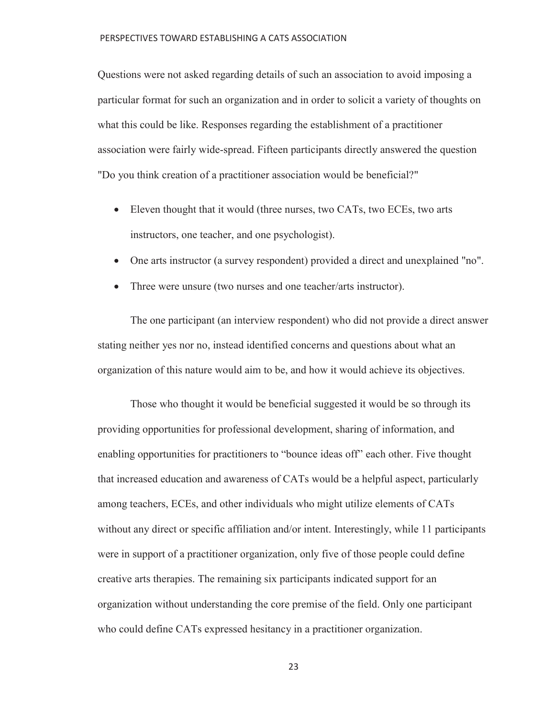Questions were not asked regarding details of such an association to avoid imposing a particular format for such an organization and in order to solicit a variety of thoughts on what this could be like. Responses regarding the establishment of a practitioner association were fairly wide-spread. Fifteen participants directly answered the question "Do you think creation of a practitioner association would be beneficial?"

- Eleven thought that it would (three nurses, two CATs, two ECEs, two arts instructors, one teacher, and one psychologist).
- One arts instructor (a survey respondent) provided a direct and unexplained "no".
- Three were unsure (two nurses and one teacher/arts instructor).

 The one participant (an interview respondent) who did not provide a direct answer stating neither yes nor no, instead identified concerns and questions about what an organization of this nature would aim to be, and how it would achieve its objectives.

 Those who thought it would be beneficial suggested it would be so through its providing opportunities for professional development, sharing of information, and enabling opportunities for practitioners to "bounce ideas off" each other. Five thought that increased education and awareness of CATs would be a helpful aspect, particularly among teachers, ECEs, and other individuals who might utilize elements of CATs without any direct or specific affiliation and/or intent. Interestingly, while 11 participants were in support of a practitioner organization, only five of those people could define creative arts therapies. The remaining six participants indicated support for an organization without understanding the core premise of the field. Only one participant who could define CATs expressed hesitancy in a practitioner organization.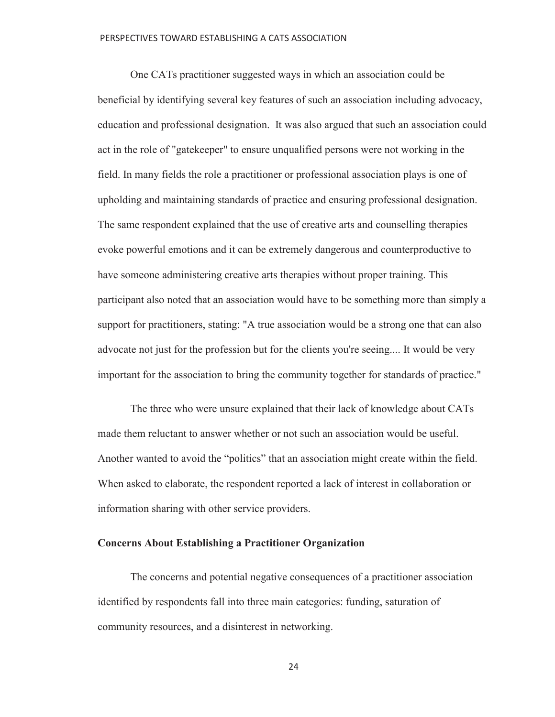One CATs practitioner suggested ways in which an association could be beneficial by identifying several key features of such an association including advocacy, education and professional designation. It was also argued that such an association could act in the role of "gatekeeper" to ensure unqualified persons were not working in the field. In many fields the role a practitioner or professional association plays is one of upholding and maintaining standards of practice and ensuring professional designation. The same respondent explained that the use of creative arts and counselling therapies evoke powerful emotions and it can be extremely dangerous and counterproductive to have someone administering creative arts therapies without proper training. This participant also noted that an association would have to be something more than simply a support for practitioners, stating: "A true association would be a strong one that can also advocate not just for the profession but for the clients you're seeing.... It would be very important for the association to bring the community together for standards of practice."

 The three who were unsure explained that their lack of knowledge about CATs made them reluctant to answer whether or not such an association would be useful. Another wanted to avoid the "politics" that an association might create within the field. When asked to elaborate, the respondent reported a lack of interest in collaboration or information sharing with other service providers.

## **Concerns About Establishing a Practitioner Organization**

 The concerns and potential negative consequences of a practitioner association identified by respondents fall into three main categories: funding, saturation of community resources, and a disinterest in networking.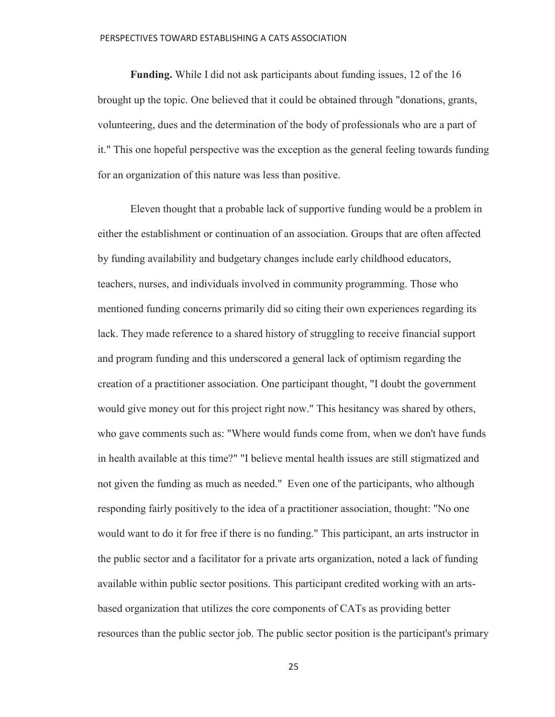**Funding.** While I did not ask participants about funding issues, 12 of the 16 brought up the topic. One believed that it could be obtained through "donations, grants, volunteering, dues and the determination of the body of professionals who are a part of it." This one hopeful perspective was the exception as the general feeling towards funding for an organization of this nature was less than positive.

 Eleven thought that a probable lack of supportive funding would be a problem in either the establishment or continuation of an association. Groups that are often affected by funding availability and budgetary changes include early childhood educators, teachers, nurses, and individuals involved in community programming. Those who mentioned funding concerns primarily did so citing their own experiences regarding its lack. They made reference to a shared history of struggling to receive financial support and program funding and this underscored a general lack of optimism regarding the creation of a practitioner association. One participant thought, "I doubt the government would give money out for this project right now." This hesitancy was shared by others, who gave comments such as: "Where would funds come from, when we don't have funds in health available at this time?" "I believe mental health issues are still stigmatized and not given the funding as much as needed." Even one of the participants, who although responding fairly positively to the idea of a practitioner association, thought: "No one would want to do it for free if there is no funding." This participant, an arts instructor in the public sector and a facilitator for a private arts organization, noted a lack of funding available within public sector positions. This participant credited working with an artsbased organization that utilizes the core components of CATs as providing better resources than the public sector job. The public sector position is the participant's primary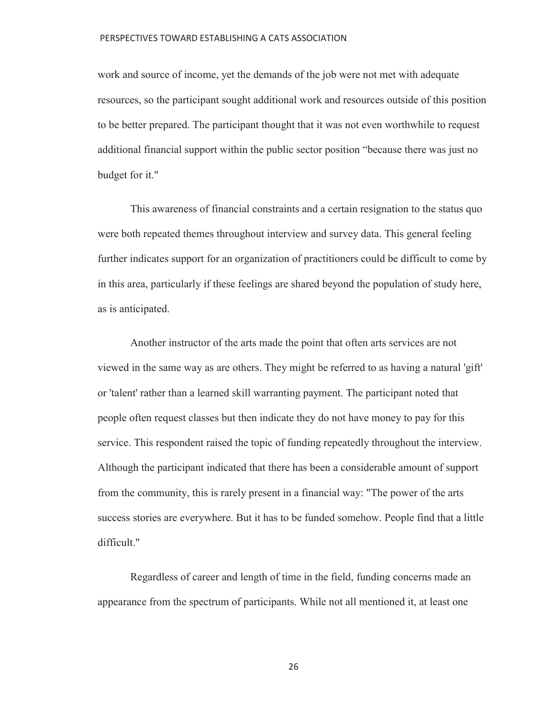work and source of income, yet the demands of the job were not met with adequate resources, so the participant sought additional work and resources outside of this position to be better prepared. The participant thought that it was not even worthwhile to request additional financial support within the public sector position "because there was just no budget for it."

 This awareness of financial constraints and a certain resignation to the status quo were both repeated themes throughout interview and survey data. This general feeling further indicates support for an organization of practitioners could be difficult to come by in this area, particularly if these feelings are shared beyond the population of study here, as is anticipated.

 Another instructor of the arts made the point that often arts services are not viewed in the same way as are others. They might be referred to as having a natural 'gift' or 'talent' rather than a learned skill warranting payment. The participant noted that people often request classes but then indicate they do not have money to pay for this service. This respondent raised the topic of funding repeatedly throughout the interview. Although the participant indicated that there has been a considerable amount of support from the community, this is rarely present in a financial way: "The power of the arts success stories are everywhere. But it has to be funded somehow. People find that a little difficult."

 Regardless of career and length of time in the field, funding concerns made an appearance from the spectrum of participants. While not all mentioned it, at least one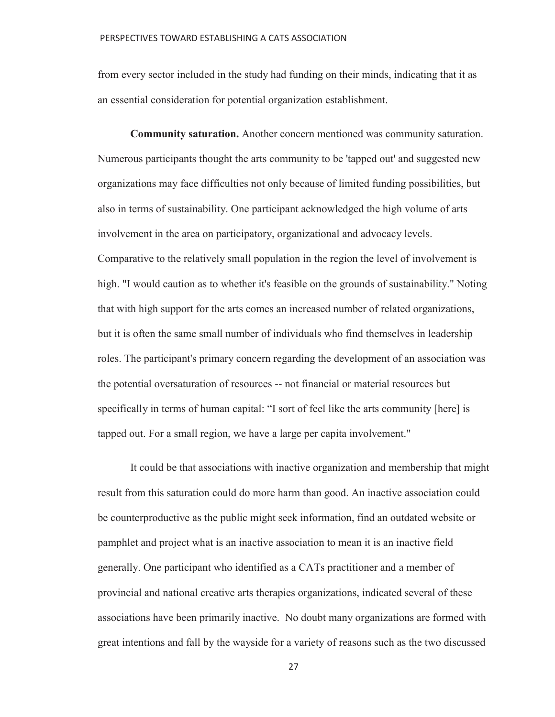from every sector included in the study had funding on their minds, indicating that it as an essential consideration for potential organization establishment.

 **Community saturation.** Another concern mentioned was community saturation. Numerous participants thought the arts community to be 'tapped out' and suggested new organizations may face difficulties not only because of limited funding possibilities, but also in terms of sustainability. One participant acknowledged the high volume of arts involvement in the area on participatory, organizational and advocacy levels. Comparative to the relatively small population in the region the level of involvement is high. "I would caution as to whether it's feasible on the grounds of sustainability." Noting that with high support for the arts comes an increased number of related organizations, but it is often the same small number of individuals who find themselves in leadership roles. The participant's primary concern regarding the development of an association was the potential oversaturation of resources -- not financial or material resources but specifically in terms of human capital: "I sort of feel like the arts community [here] is tapped out. For a small region, we have a large per capita involvement."

 It could be that associations with inactive organization and membership that might result from this saturation could do more harm than good. An inactive association could be counterproductive as the public might seek information, find an outdated website or pamphlet and project what is an inactive association to mean it is an inactive field generally. One participant who identified as a CATs practitioner and a member of provincial and national creative arts therapies organizations, indicated several of these associations have been primarily inactive. No doubt many organizations are formed with great intentions and fall by the wayside for a variety of reasons such as the two discussed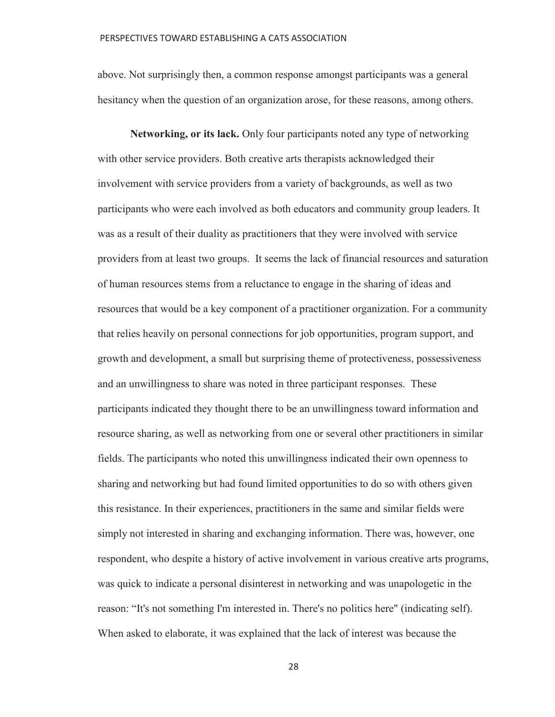above. Not surprisingly then, a common response amongst participants was a general hesitancy when the question of an organization arose, for these reasons, among others.

 **Networking, or its lack.** Only four participants noted any type of networking with other service providers. Both creative arts therapists acknowledged their involvement with service providers from a variety of backgrounds, as well as two participants who were each involved as both educators and community group leaders. It was as a result of their duality as practitioners that they were involved with service providers from at least two groups. It seems the lack of financial resources and saturation of human resources stems from a reluctance to engage in the sharing of ideas and resources that would be a key component of a practitioner organization. For a community that relies heavily on personal connections for job opportunities, program support, and growth and development, a small but surprising theme of protectiveness, possessiveness and an unwillingness to share was noted in three participant responses. These participants indicated they thought there to be an unwillingness toward information and resource sharing, as well as networking from one or several other practitioners in similar fields. The participants who noted this unwillingness indicated their own openness to sharing and networking but had found limited opportunities to do so with others given this resistance. In their experiences, practitioners in the same and similar fields were simply not interested in sharing and exchanging information. There was, however, one respondent, who despite a history of active involvement in various creative arts programs, was quick to indicate a personal disinterest in networking and was unapologetic in the reason: "It's not something I'm interested in. There's no politics here" (indicating self). When asked to elaborate, it was explained that the lack of interest was because the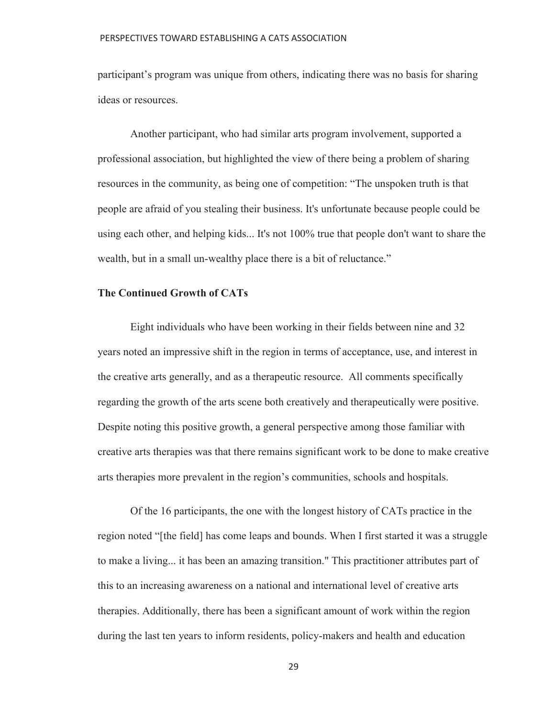participant's program was unique from others, indicating there was no basis for sharing ideas or resources.

 Another participant, who had similar arts program involvement, supported a professional association, but highlighted the view of there being a problem of sharing resources in the community, as being one of competition: "The unspoken truth is that people are afraid of you stealing their business. It's unfortunate because people could be using each other, and helping kids... It's not 100% true that people don't want to share the wealth, but in a small un-wealthy place there is a bit of reluctance."

## **The Continued Growth of CATs**

 Eight individuals who have been working in their fields between nine and 32 years noted an impressive shift in the region in terms of acceptance, use, and interest in the creative arts generally, and as a therapeutic resource. All comments specifically regarding the growth of the arts scene both creatively and therapeutically were positive. Despite noting this positive growth, a general perspective among those familiar with creative arts therapies was that there remains significant work to be done to make creative arts therapies more prevalent in the region's communities, schools and hospitals.

 Of the 16 participants, the one with the longest history of CATs practice in the region noted "[the field] has come leaps and bounds. When I first started it was a struggle to make a living... it has been an amazing transition." This practitioner attributes part of this to an increasing awareness on a national and international level of creative arts therapies. Additionally, there has been a significant amount of work within the region during the last ten years to inform residents, policy-makers and health and education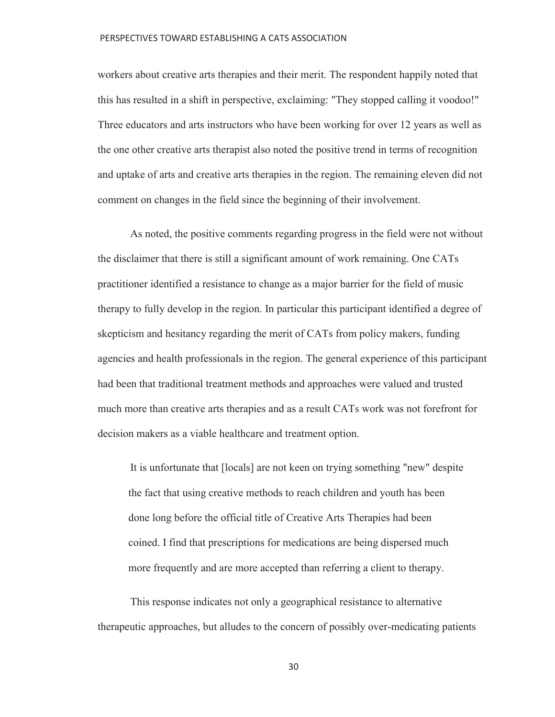workers about creative arts therapies and their merit. The respondent happily noted that this has resulted in a shift in perspective, exclaiming: "They stopped calling it voodoo!" Three educators and arts instructors who have been working for over 12 years as well as the one other creative arts therapist also noted the positive trend in terms of recognition and uptake of arts and creative arts therapies in the region. The remaining eleven did not comment on changes in the field since the beginning of their involvement.

 As noted, the positive comments regarding progress in the field were not without the disclaimer that there is still a significant amount of work remaining. One CATs practitioner identified a resistance to change as a major barrier for the field of music therapy to fully develop in the region. In particular this participant identified a degree of skepticism and hesitancy regarding the merit of CATs from policy makers, funding agencies and health professionals in the region. The general experience of this participant had been that traditional treatment methods and approaches were valued and trusted much more than creative arts therapies and as a result CATs work was not forefront for decision makers as a viable healthcare and treatment option.

 It is unfortunate that [locals] are not keen on trying something "new" despite the fact that using creative methods to reach children and youth has been done long before the official title of Creative Arts Therapies had been coined. I find that prescriptions for medications are being dispersed much more frequently and are more accepted than referring a client to therapy.

 This response indicates not only a geographical resistance to alternative therapeutic approaches, but alludes to the concern of possibly over-medicating patients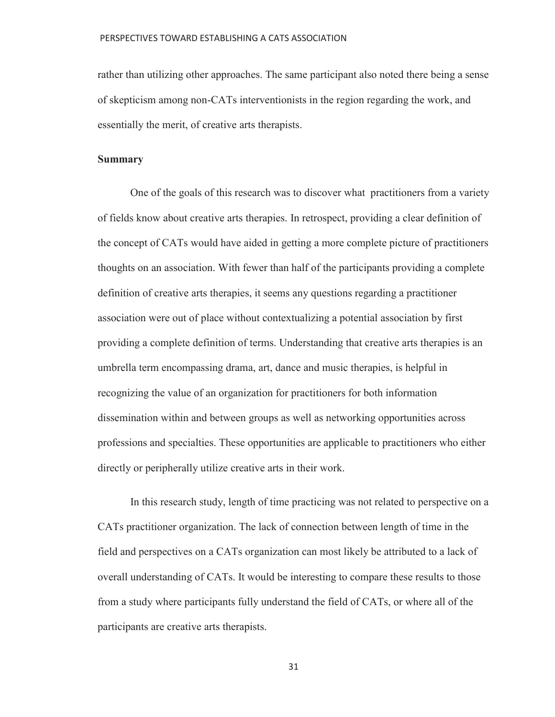rather than utilizing other approaches. The same participant also noted there being a sense of skepticism among non-CATs interventionists in the region regarding the work, and essentially the merit, of creative arts therapists.

## **Summary**

 One of the goals of this research was to discover what practitioners from a variety of fields know about creative arts therapies. In retrospect, providing a clear definition of the concept of CATs would have aided in getting a more complete picture of practitioners thoughts on an association. With fewer than half of the participants providing a complete definition of creative arts therapies, it seems any questions regarding a practitioner association were out of place without contextualizing a potential association by first providing a complete definition of terms. Understanding that creative arts therapies is an umbrella term encompassing drama, art, dance and music therapies, is helpful in recognizing the value of an organization for practitioners for both information dissemination within and between groups as well as networking opportunities across professions and specialties. These opportunities are applicable to practitioners who either directly or peripherally utilize creative arts in their work.

 In this research study, length of time practicing was not related to perspective on a CATs practitioner organization. The lack of connection between length of time in the field and perspectives on a CATs organization can most likely be attributed to a lack of overall understanding of CATs. It would be interesting to compare these results to those from a study where participants fully understand the field of CATs, or where all of the participants are creative arts therapists.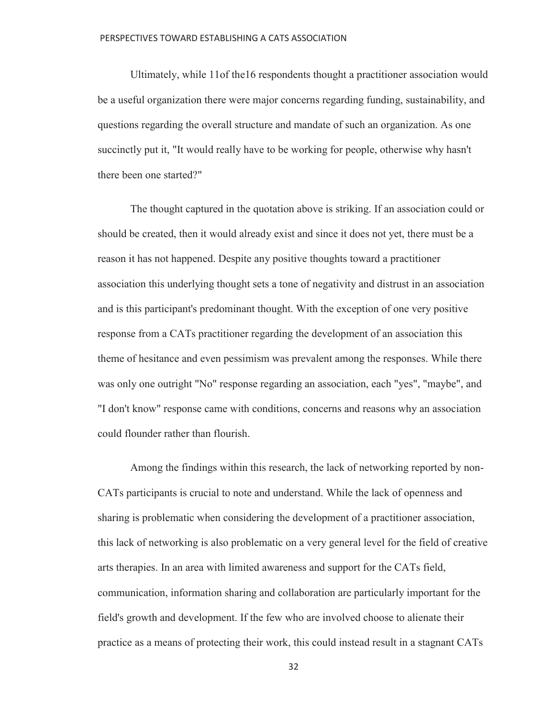Ultimately, while 11of the16 respondents thought a practitioner association would be a useful organization there were major concerns regarding funding, sustainability, and questions regarding the overall structure and mandate of such an organization. As one succinctly put it, "It would really have to be working for people, otherwise why hasn't there been one started?"

 The thought captured in the quotation above is striking. If an association could or should be created, then it would already exist and since it does not yet, there must be a reason it has not happened. Despite any positive thoughts toward a practitioner association this underlying thought sets a tone of negativity and distrust in an association and is this participant's predominant thought. With the exception of one very positive response from a CATs practitioner regarding the development of an association this theme of hesitance and even pessimism was prevalent among the responses. While there was only one outright "No" response regarding an association, each "yes", "maybe", and "I don't know" response came with conditions, concerns and reasons why an association could flounder rather than flourish.

 Among the findings within this research, the lack of networking reported by non-CATs participants is crucial to note and understand. While the lack of openness and sharing is problematic when considering the development of a practitioner association, this lack of networking is also problematic on a very general level for the field of creative arts therapies. In an area with limited awareness and support for the CATs field, communication, information sharing and collaboration are particularly important for the field's growth and development. If the few who are involved choose to alienate their practice as a means of protecting their work, this could instead result in a stagnant CATs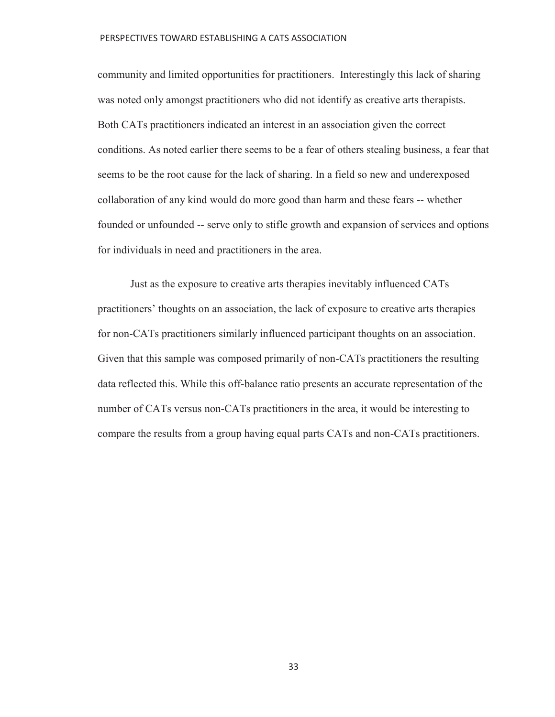community and limited opportunities for practitioners. Interestingly this lack of sharing was noted only amongst practitioners who did not identify as creative arts therapists. Both CATs practitioners indicated an interest in an association given the correct conditions. As noted earlier there seems to be a fear of others stealing business, a fear that seems to be the root cause for the lack of sharing. In a field so new and underexposed collaboration of any kind would do more good than harm and these fears -- whether founded or unfounded -- serve only to stifle growth and expansion of services and options for individuals in need and practitioners in the area.

 Just as the exposure to creative arts therapies inevitably influenced CATs practitioners' thoughts on an association, the lack of exposure to creative arts therapies for non-CATs practitioners similarly influenced participant thoughts on an association. Given that this sample was composed primarily of non-CATs practitioners the resulting data reflected this. While this off-balance ratio presents an accurate representation of the number of CATs versus non-CATs practitioners in the area, it would be interesting to compare the results from a group having equal parts CATs and non-CATs practitioners.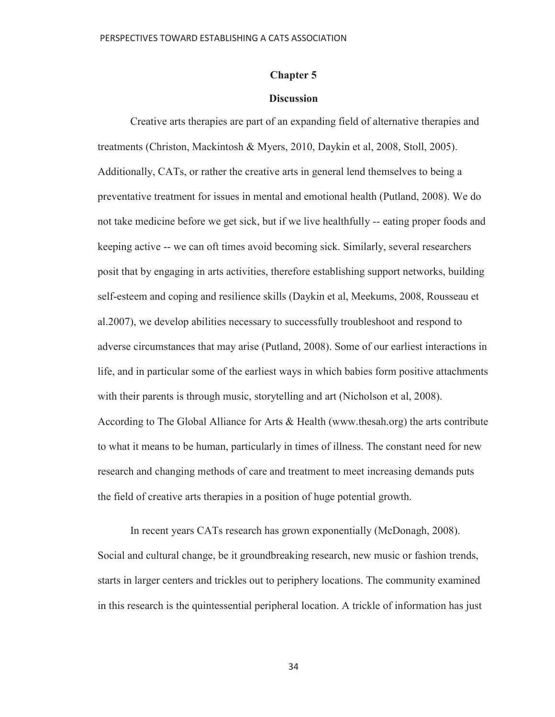## **Chapter 5**

### **Discussion**

 Creative arts therapies are part of an expanding field of alternative therapies and treatments (Christon, Mackintosh & Myers, 2010, Daykin et al, 2008, Stoll, 2005). Additionally, CATs, or rather the creative arts in general lend themselves to being a preventative treatment for issues in mental and emotional health (Putland, 2008). We do not take medicine before we get sick, but if we live healthfully -- eating proper foods and keeping active -- we can oft times avoid becoming sick. Similarly, several researchers posit that by engaging in arts activities, therefore establishing support networks, building self-esteem and coping and resilience skills (Daykin et al, Meekums, 2008, Rousseau et al.2007), we develop abilities necessary to successfully troubleshoot and respond to adverse circumstances that may arise (Putland, 2008). Some of our earliest interactions in life, and in particular some of the earliest ways in which babies form positive attachments with their parents is through music, storytelling and art (Nicholson et al, 2008). According to The Global Alliance for Arts & Health (www.thesah.org) the arts contribute to what it means to be human, particularly in times of illness. The constant need for new research and changing methods of care and treatment to meet increasing demands puts the field of creative arts therapies in a position of huge potential growth.

 In recent years CATs research has grown exponentially (McDonagh, 2008). Social and cultural change, be it groundbreaking research, new music or fashion trends, starts in larger centers and trickles out to periphery locations. The community examined in this research is the quintessential peripheral location. A trickle of information has just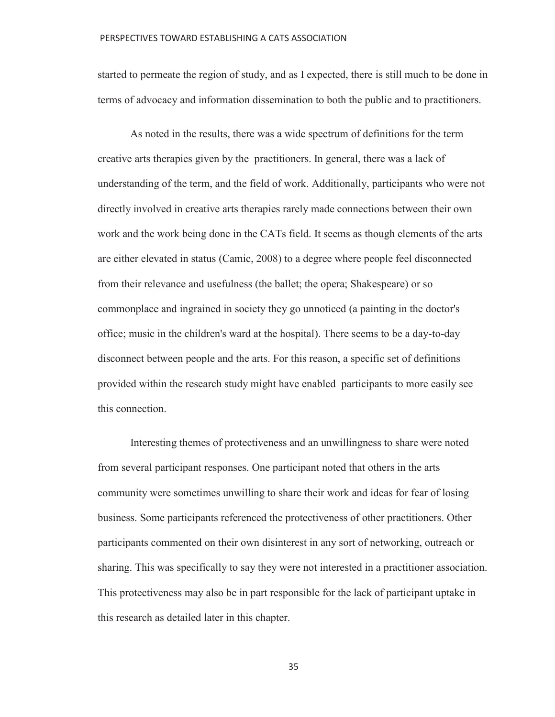started to permeate the region of study, and as I expected, there is still much to be done in terms of advocacy and information dissemination to both the public and to practitioners.

 As noted in the results, there was a wide spectrum of definitions for the term creative arts therapies given by the practitioners. In general, there was a lack of understanding of the term, and the field of work. Additionally, participants who were not directly involved in creative arts therapies rarely made connections between their own work and the work being done in the CATs field. It seems as though elements of the arts are either elevated in status (Camic, 2008) to a degree where people feel disconnected from their relevance and usefulness (the ballet; the opera; Shakespeare) or so commonplace and ingrained in society they go unnoticed (a painting in the doctor's office; music in the children's ward at the hospital). There seems to be a day-to-day disconnect between people and the arts. For this reason, a specific set of definitions provided within the research study might have enabled participants to more easily see this connection.

 Interesting themes of protectiveness and an unwillingness to share were noted from several participant responses. One participant noted that others in the arts community were sometimes unwilling to share their work and ideas for fear of losing business. Some participants referenced the protectiveness of other practitioners. Other participants commented on their own disinterest in any sort of networking, outreach or sharing. This was specifically to say they were not interested in a practitioner association. This protectiveness may also be in part responsible for the lack of participant uptake in this research as detailed later in this chapter.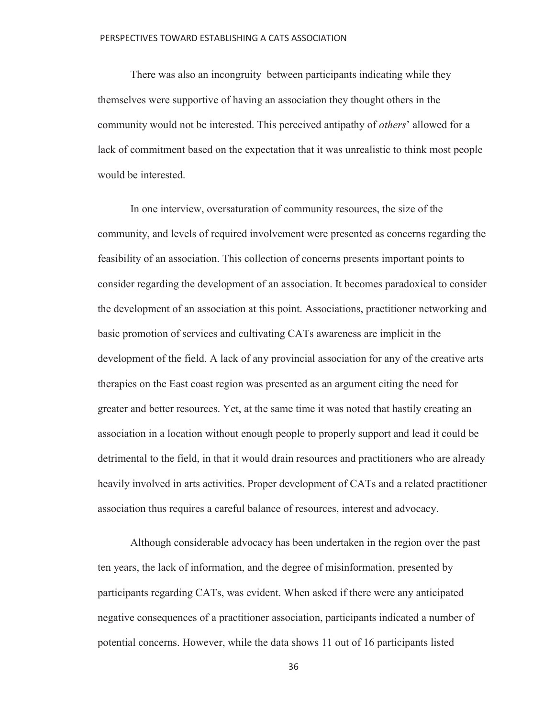There was also an incongruity between participants indicating while they themselves were supportive of having an association they thought others in the community would not be interested. This perceived antipathy of *others*' allowed for a lack of commitment based on the expectation that it was unrealistic to think most people would be interested.

 In one interview, oversaturation of community resources, the size of the community, and levels of required involvement were presented as concerns regarding the feasibility of an association. This collection of concerns presents important points to consider regarding the development of an association. It becomes paradoxical to consider the development of an association at this point. Associations, practitioner networking and basic promotion of services and cultivating CATs awareness are implicit in the development of the field. A lack of any provincial association for any of the creative arts therapies on the East coast region was presented as an argument citing the need for greater and better resources. Yet, at the same time it was noted that hastily creating an association in a location without enough people to properly support and lead it could be detrimental to the field, in that it would drain resources and practitioners who are already heavily involved in arts activities. Proper development of CATs and a related practitioner association thus requires a careful balance of resources, interest and advocacy.

 Although considerable advocacy has been undertaken in the region over the past ten years, the lack of information, and the degree of misinformation, presented by participants regarding CATs, was evident. When asked if there were any anticipated negative consequences of a practitioner association, participants indicated a number of potential concerns. However, while the data shows 11 out of 16 participants listed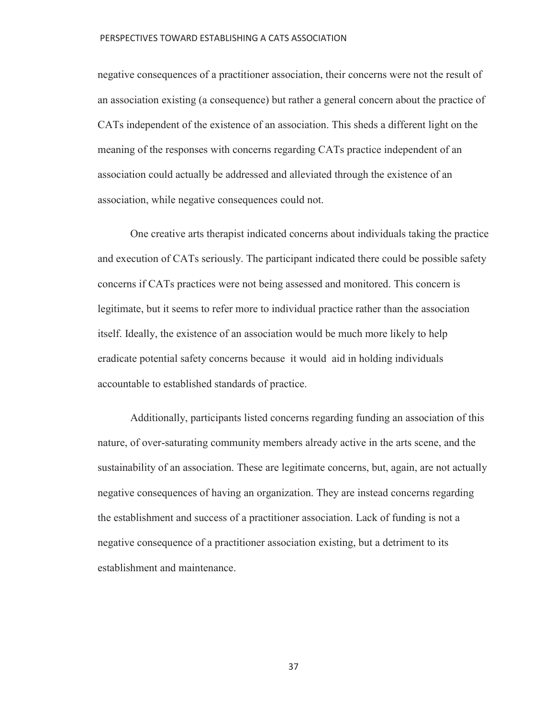negative consequences of a practitioner association, their concerns were not the result of an association existing (a consequence) but rather a general concern about the practice of CATs independent of the existence of an association. This sheds a different light on the meaning of the responses with concerns regarding CATs practice independent of an association could actually be addressed and alleviated through the existence of an association, while negative consequences could not.

 One creative arts therapist indicated concerns about individuals taking the practice and execution of CATs seriously. The participant indicated there could be possible safety concerns if CATs practices were not being assessed and monitored. This concern is legitimate, but it seems to refer more to individual practice rather than the association itself. Ideally, the existence of an association would be much more likely to help eradicate potential safety concerns because it would aid in holding individuals accountable to established standards of practice.

 Additionally, participants listed concerns regarding funding an association of this nature, of over-saturating community members already active in the arts scene, and the sustainability of an association. These are legitimate concerns, but, again, are not actually negative consequences of having an organization. They are instead concerns regarding the establishment and success of a practitioner association. Lack of funding is not a negative consequence of a practitioner association existing, but a detriment to its establishment and maintenance.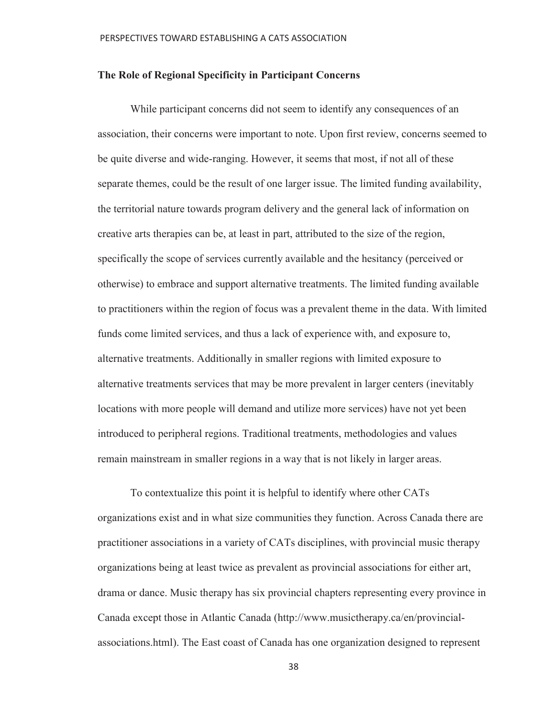## **The Role of Regional Specificity in Participant Concerns**

 While participant concerns did not seem to identify any consequences of an association, their concerns were important to note. Upon first review, concerns seemed to be quite diverse and wide-ranging. However, it seems that most, if not all of these separate themes, could be the result of one larger issue. The limited funding availability, the territorial nature towards program delivery and the general lack of information on creative arts therapies can be, at least in part, attributed to the size of the region, specifically the scope of services currently available and the hesitancy (perceived or otherwise) to embrace and support alternative treatments. The limited funding available to practitioners within the region of focus was a prevalent theme in the data. With limited funds come limited services, and thus a lack of experience with, and exposure to, alternative treatments. Additionally in smaller regions with limited exposure to alternative treatments services that may be more prevalent in larger centers (inevitably locations with more people will demand and utilize more services) have not yet been introduced to peripheral regions. Traditional treatments, methodologies and values remain mainstream in smaller regions in a way that is not likely in larger areas.

 To contextualize this point it is helpful to identify where other CATs organizations exist and in what size communities they function. Across Canada there are practitioner associations in a variety of CATs disciplines, with provincial music therapy organizations being at least twice as prevalent as provincial associations for either art, drama or dance. Music therapy has six provincial chapters representing every province in Canada except those in Atlantic Canada (http://www.musictherapy.ca/en/provincialassociations.html). The East coast of Canada has one organization designed to represent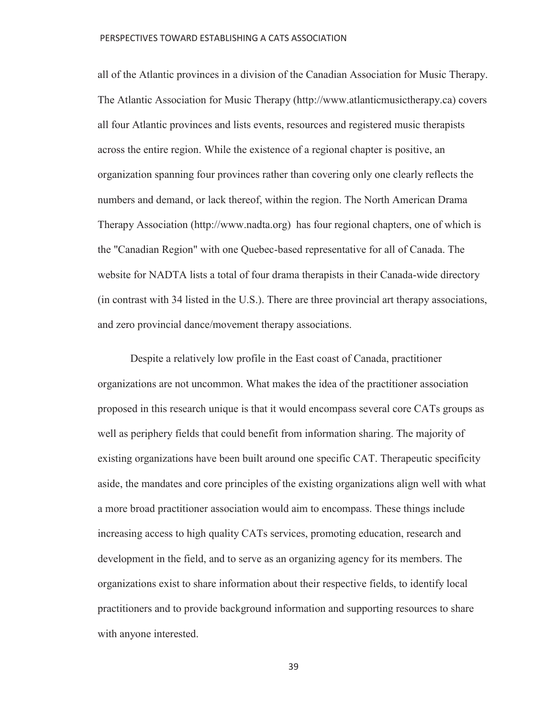all of the Atlantic provinces in a division of the Canadian Association for Music Therapy. The Atlantic Association for Music Therapy (http://www.atlanticmusictherapy.ca) covers all four Atlantic provinces and lists events, resources and registered music therapists across the entire region. While the existence of a regional chapter is positive, an organization spanning four provinces rather than covering only one clearly reflects the numbers and demand, or lack thereof, within the region. The North American Drama Therapy Association (http://www.nadta.org) has four regional chapters, one of which is the "Canadian Region" with one Quebec-based representative for all of Canada. The website for NADTA lists a total of four drama therapists in their Canada-wide directory (in contrast with 34 listed in the U.S.). There are three provincial art therapy associations, and zero provincial dance/movement therapy associations.

 Despite a relatively low profile in the East coast of Canada, practitioner organizations are not uncommon. What makes the idea of the practitioner association proposed in this research unique is that it would encompass several core CATs groups as well as periphery fields that could benefit from information sharing. The majority of existing organizations have been built around one specific CAT. Therapeutic specificity aside, the mandates and core principles of the existing organizations align well with what a more broad practitioner association would aim to encompass. These things include increasing access to high quality CATs services, promoting education, research and development in the field, and to serve as an organizing agency for its members. The organizations exist to share information about their respective fields, to identify local practitioners and to provide background information and supporting resources to share with anyone interested.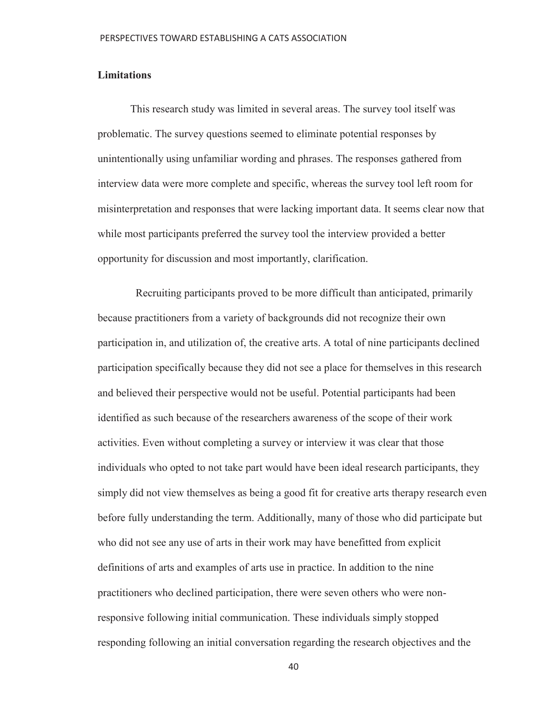## **Limitations**

 This research study was limited in several areas. The survey tool itself was problematic. The survey questions seemed to eliminate potential responses by unintentionally using unfamiliar wording and phrases. The responses gathered from interview data were more complete and specific, whereas the survey tool left room for misinterpretation and responses that were lacking important data. It seems clear now that while most participants preferred the survey tool the interview provided a better opportunity for discussion and most importantly, clarification.

 Recruiting participants proved to be more difficult than anticipated, primarily because practitioners from a variety of backgrounds did not recognize their own participation in, and utilization of, the creative arts. A total of nine participants declined participation specifically because they did not see a place for themselves in this research and believed their perspective would not be useful. Potential participants had been identified as such because of the researchers awareness of the scope of their work activities. Even without completing a survey or interview it was clear that those individuals who opted to not take part would have been ideal research participants, they simply did not view themselves as being a good fit for creative arts therapy research even before fully understanding the term. Additionally, many of those who did participate but who did not see any use of arts in their work may have benefitted from explicit definitions of arts and examples of arts use in practice. In addition to the nine practitioners who declined participation, there were seven others who were nonresponsive following initial communication. These individuals simply stopped responding following an initial conversation regarding the research objectives and the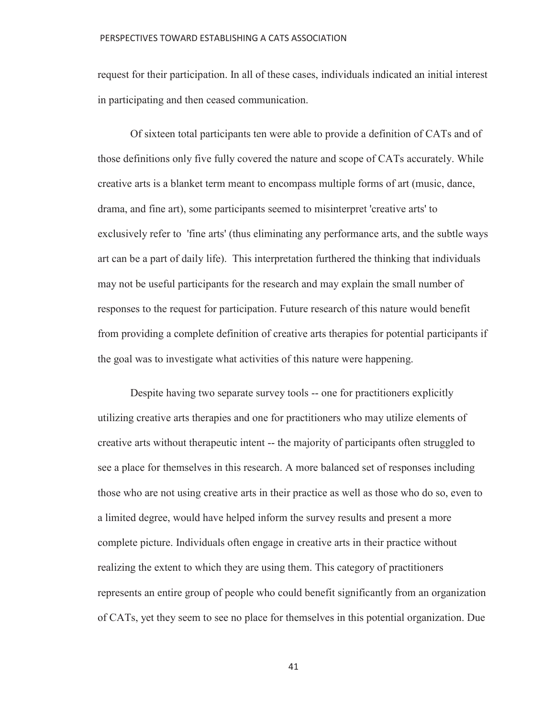request for their participation. In all of these cases, individuals indicated an initial interest in participating and then ceased communication.

 Of sixteen total participants ten were able to provide a definition of CATs and of those definitions only five fully covered the nature and scope of CATs accurately. While creative arts is a blanket term meant to encompass multiple forms of art (music, dance, drama, and fine art), some participants seemed to misinterpret 'creative arts' to exclusively refer to 'fine arts' (thus eliminating any performance arts, and the subtle ways art can be a part of daily life). This interpretation furthered the thinking that individuals may not be useful participants for the research and may explain the small number of responses to the request for participation. Future research of this nature would benefit from providing a complete definition of creative arts therapies for potential participants if the goal was to investigate what activities of this nature were happening.

 Despite having two separate survey tools -- one for practitioners explicitly utilizing creative arts therapies and one for practitioners who may utilize elements of creative arts without therapeutic intent -- the majority of participants often struggled to see a place for themselves in this research. A more balanced set of responses including those who are not using creative arts in their practice as well as those who do so, even to a limited degree, would have helped inform the survey results and present a more complete picture. Individuals often engage in creative arts in their practice without realizing the extent to which they are using them. This category of practitioners represents an entire group of people who could benefit significantly from an organization of CATs, yet they seem to see no place for themselves in this potential organization. Due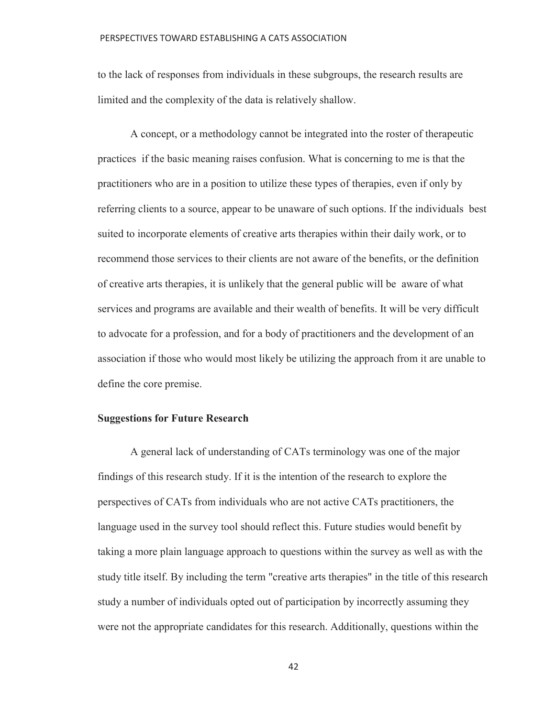to the lack of responses from individuals in these subgroups, the research results are limited and the complexity of the data is relatively shallow.

 A concept, or a methodology cannot be integrated into the roster of therapeutic practices if the basic meaning raises confusion. What is concerning to me is that the practitioners who are in a position to utilize these types of therapies, even if only by referring clients to a source, appear to be unaware of such options. If the individuals best suited to incorporate elements of creative arts therapies within their daily work, or to recommend those services to their clients are not aware of the benefits, or the definition of creative arts therapies, it is unlikely that the general public will be aware of what services and programs are available and their wealth of benefits. It will be very difficult to advocate for a profession, and for a body of practitioners and the development of an association if those who would most likely be utilizing the approach from it are unable to define the core premise.

## **Suggestions for Future Research**

 A general lack of understanding of CATs terminology was one of the major findings of this research study. If it is the intention of the research to explore the perspectives of CATs from individuals who are not active CATs practitioners, the language used in the survey tool should reflect this. Future studies would benefit by taking a more plain language approach to questions within the survey as well as with the study title itself. By including the term "creative arts therapies" in the title of this research study a number of individuals opted out of participation by incorrectly assuming they were not the appropriate candidates for this research. Additionally, questions within the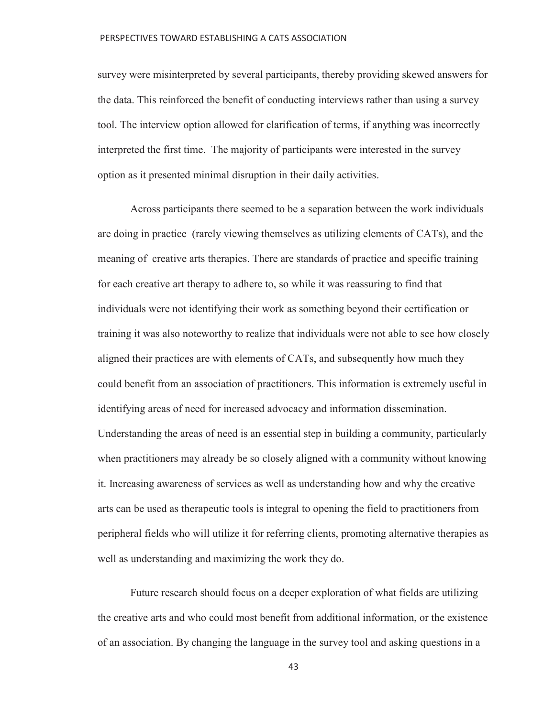survey were misinterpreted by several participants, thereby providing skewed answers for the data. This reinforced the benefit of conducting interviews rather than using a survey tool. The interview option allowed for clarification of terms, if anything was incorrectly interpreted the first time. The majority of participants were interested in the survey option as it presented minimal disruption in their daily activities.

 Across participants there seemed to be a separation between the work individuals are doing in practice (rarely viewing themselves as utilizing elements of CATs), and the meaning of creative arts therapies. There are standards of practice and specific training for each creative art therapy to adhere to, so while it was reassuring to find that individuals were not identifying their work as something beyond their certification or training it was also noteworthy to realize that individuals were not able to see how closely aligned their practices are with elements of CATs, and subsequently how much they could benefit from an association of practitioners. This information is extremely useful in identifying areas of need for increased advocacy and information dissemination. Understanding the areas of need is an essential step in building a community, particularly when practitioners may already be so closely aligned with a community without knowing it. Increasing awareness of services as well as understanding how and why the creative arts can be used as therapeutic tools is integral to opening the field to practitioners from peripheral fields who will utilize it for referring clients, promoting alternative therapies as well as understanding and maximizing the work they do.

 Future research should focus on a deeper exploration of what fields are utilizing the creative arts and who could most benefit from additional information, or the existence of an association. By changing the language in the survey tool and asking questions in a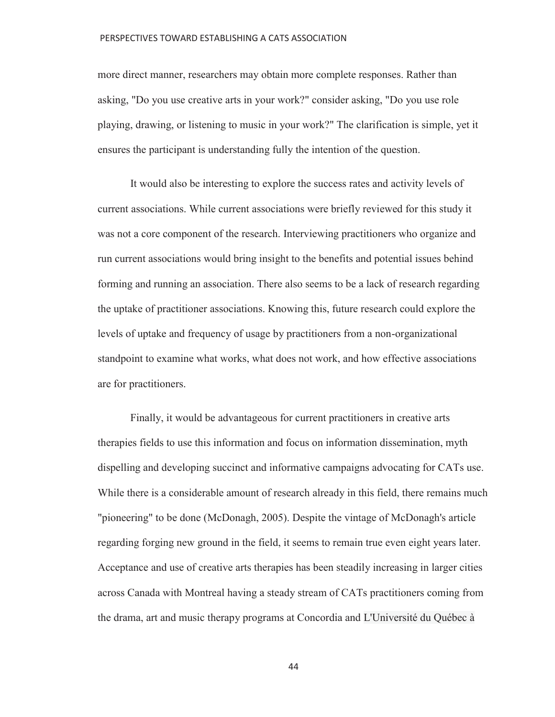more direct manner, researchers may obtain more complete responses. Rather than asking, "Do you use creative arts in your work?" consider asking, "Do you use role playing, drawing, or listening to music in your work?" The clarification is simple, yet it ensures the participant is understanding fully the intention of the question.

 It would also be interesting to explore the success rates and activity levels of current associations. While current associations were briefly reviewed for this study it was not a core component of the research. Interviewing practitioners who organize and run current associations would bring insight to the benefits and potential issues behind forming and running an association. There also seems to be a lack of research regarding the uptake of practitioner associations. Knowing this, future research could explore the levels of uptake and frequency of usage by practitioners from a non-organizational standpoint to examine what works, what does not work, and how effective associations are for practitioners.

 Finally, it would be advantageous for current practitioners in creative arts therapies fields to use this information and focus on information dissemination, myth dispelling and developing succinct and informative campaigns advocating for CATs use. While there is a considerable amount of research already in this field, there remains much "pioneering" to be done (McDonagh, 2005). Despite the vintage of McDonagh's article regarding forging new ground in the field, it seems to remain true even eight years later. Acceptance and use of creative arts therapies has been steadily increasing in larger cities across Canada with Montreal having a steady stream of CATs practitioners coming from the drama, art and music therapy programs at Concordia and L'Université du Québec à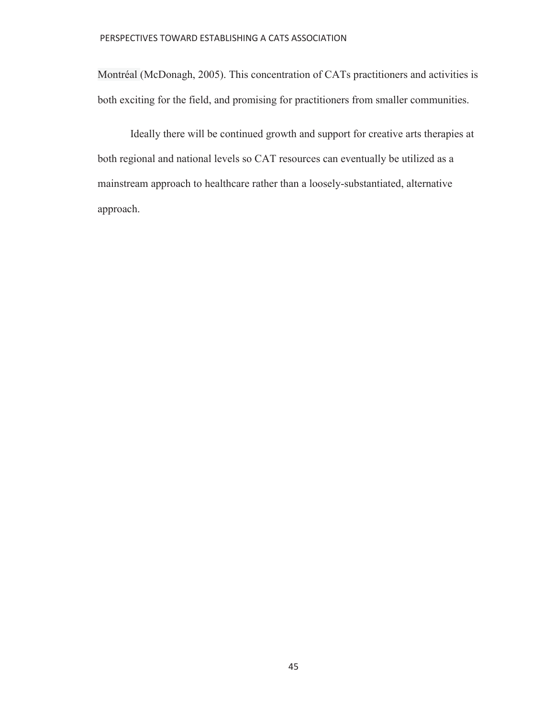Montréal (McDonagh, 2005). This concentration of CATs practitioners and activities is both exciting for the field, and promising for practitioners from smaller communities.

 Ideally there will be continued growth and support for creative arts therapies at both regional and national levels so CAT resources can eventually be utilized as a mainstream approach to healthcare rather than a loosely-substantiated, alternative approach.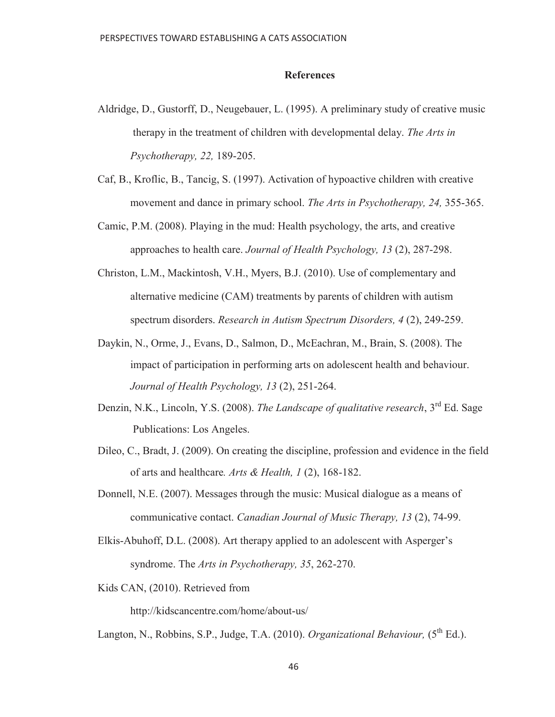### **References**

- Aldridge, D., Gustorff, D., Neugebauer, L. (1995). A preliminary study of creative music therapy in the treatment of children with developmental delay. *The Arts in Psychotherapy, 22,* 189-205.
- Caf, B., Kroflic, B., Tancig, S. (1997). Activation of hypoactive children with creative movement and dance in primary school. *The Arts in Psychotherapy, 24,* 355-365.
- Camic, P.M. (2008). Playing in the mud: Health psychology, the arts, and creative approaches to health care. *Journal of Health Psychology, 13* (2), 287-298.
- Christon, L.M., Mackintosh, V.H., Myers, B.J. (2010). Use of complementary and alternative medicine (CAM) treatments by parents of children with autism spectrum disorders. *Research in Autism Spectrum Disorders, 4* (2), 249-259.
- Daykin, N., Orme, J., Evans, D., Salmon, D., McEachran, M., Brain, S. (2008). The impact of participation in performing arts on adolescent health and behaviour. *Journal of Health Psychology, 13* (2), 251-264.
- Denzin, N.K., Lincoln, Y.S. (2008). *The Landscape of qualitative research*, 3rd Ed. Sage Publications: Los Angeles.
- Dileo, C., Bradt, J. (2009). On creating the discipline, profession and evidence in the field of arts and healthcare*. Arts & Health, 1* (2), 168-182.
- Donnell, N.E. (2007). Messages through the music: Musical dialogue as a means of communicative contact. *Canadian Journal of Music Therapy, 13* (2), 74-99.
- Elkis-Abuhoff, D.L. (2008). Art therapy applied to an adolescent with Asperger's syndrome. The *Arts in Psychotherapy, 35*, 262-270.
- Kids CAN, (2010). Retrieved from

http://kidscancentre.com/home/about-us/

Langton, N., Robbins, S.P., Judge, T.A. (2010). *Organizational Behaviour*, (5<sup>th</sup> Ed.).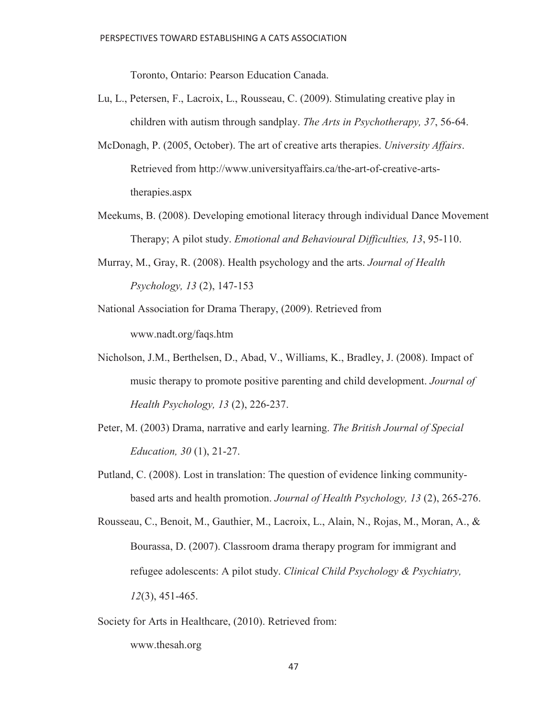Toronto, Ontario: Pearson Education Canada.

- Lu, L., Petersen, F., Lacroix, L., Rousseau, C. (2009). Stimulating creative play in children with autism through sandplay. *The Arts in Psychotherapy, 37*, 56-64.
- McDonagh, P. (2005, October). The art of creative arts therapies. *University Affairs*. Retrieved from http://www.universityaffairs.ca/the-art-of-creative-arts therapies.aspx
- Meekums, B. (2008). Developing emotional literacy through individual Dance Movement Therapy; A pilot study. *Emotional and Behavioural Difficulties, 13*, 95-110.
- Murray, M., Gray, R. (2008). Health psychology and the arts. *Journal of Health Psychology, 13* (2), 147-153
- National Association for Drama Therapy, (2009). Retrieved from www.nadt.org/faqs.htm
- Nicholson, J.M., Berthelsen, D., Abad, V., Williams, K., Bradley, J. (2008). Impact of music therapy to promote positive parenting and child development. *Journal of Health Psychology, 13* (2), 226-237.
- Peter, M. (2003) Drama, narrative and early learning. *The British Journal of Special Education, 30* (1), 21-27.
- Putland, C. (2008). Lost in translation: The question of evidence linking community based arts and health promotion. *Journal of Health Psychology, 13* (2), 265-276.

Society for Arts in Healthcare, (2010). Retrieved from: www.thesah.org

Rousseau, C., Benoit, M., Gauthier, M., Lacroix, L., Alain, N., Rojas, M., Moran, A., & Bourassa, D. (2007). Classroom drama therapy program for immigrant and refugee adolescents: A pilot study. *Clinical Child Psychology & Psychiatry, 12*(3), 451-465.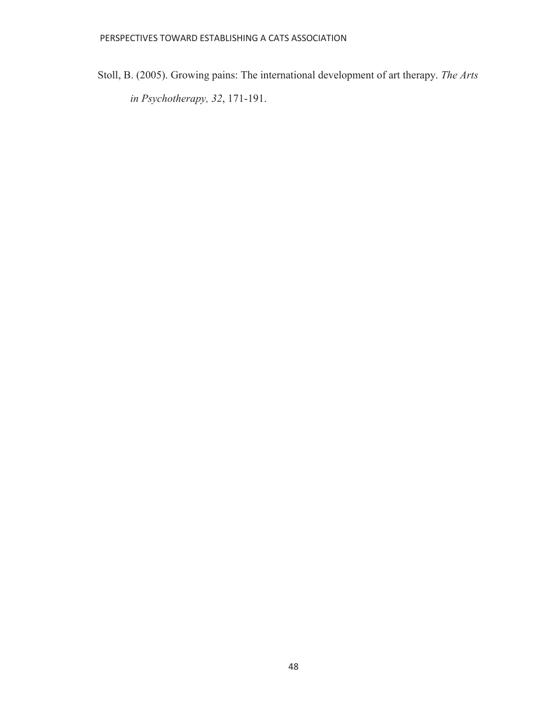Stoll, B. (2005). Growing pains: The international development of art therapy. *The Arts in Psychotherapy, 32*, 171-191.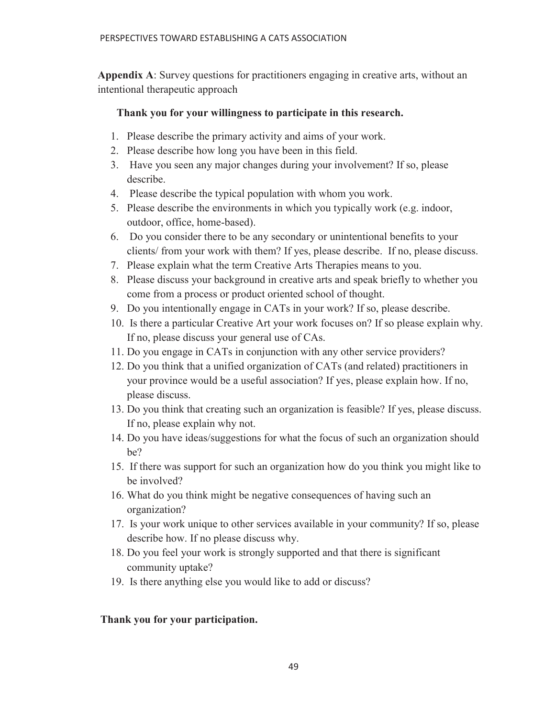**Appendix A**: Survey questions for practitioners engaging in creative arts, without an intentional therapeutic approach

## **Thank you for your willingness to participate in this research.**

- 1. Please describe the primary activity and aims of your work.
- 2. Please describe how long you have been in this field.
- 3. Have you seen any major changes during your involvement? If so, please describe.
- 4. Please describe the typical population with whom you work.
- 5. Please describe the environments in which you typically work (e.g. indoor, outdoor, office, home-based).
- 6. Do you consider there to be any secondary or unintentional benefits to your clients/ from your work with them? If yes, please describe. If no, please discuss.
- 7. Please explain what the term Creative Arts Therapies means to you.
- 8. Please discuss your background in creative arts and speak briefly to whether you come from a process or product oriented school of thought.
- 9. Do you intentionally engage in CATs in your work? If so, please describe.
- 10. Is there a particular Creative Art your work focuses on? If so please explain why. If no, please discuss your general use of CAs.
- 11. Do you engage in CATs in conjunction with any other service providers?
- 12. Do you think that a unified organization of CATs (and related) practitioners in your province would be a useful association? If yes, please explain how. If no, please discuss.
- 13. Do you think that creating such an organization is feasible? If yes, please discuss. If no, please explain why not.
- 14. Do you have ideas/suggestions for what the focus of such an organization should be?
- 15. If there was support for such an organization how do you think you might like to be involved?
- 16. What do you think might be negative consequences of having such an organization?
- 17. Is your work unique to other services available in your community? If so, please describe how. If no please discuss why.
- 18. Do you feel your work is strongly supported and that there is significant community uptake?
- 19. Is there anything else you would like to add or discuss?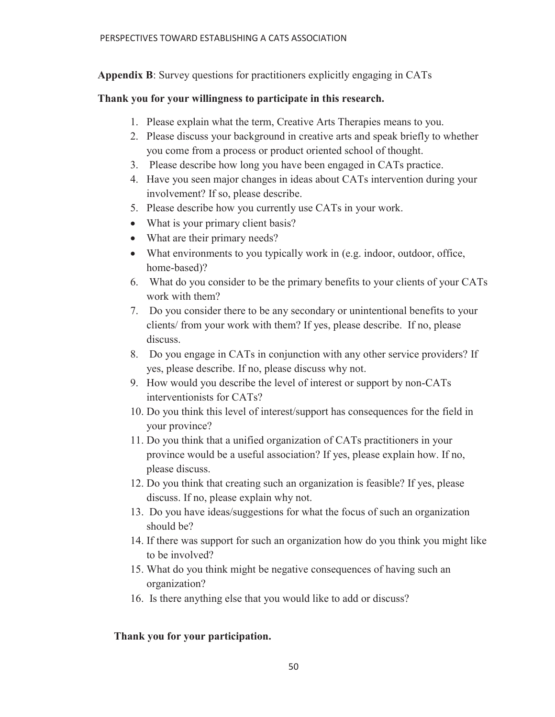**Appendix B**: Survey questions for practitioners explicitly engaging in CATs

# **Thank you for your willingness to participate in this research.**

- 1. Please explain what the term, Creative Arts Therapies means to you.
- 2. Please discuss your background in creative arts and speak briefly to whether you come from a process or product oriented school of thought.
- 3. Please describe how long you have been engaged in CATs practice.
- 4. Have you seen major changes in ideas about CATs intervention during your involvement? If so, please describe.
- 5. Please describe how you currently use CATs in your work.
- What is your primary client basis?
- What are their primary needs?
- $\bullet$  What environments to you typically work in (e.g. indoor, outdoor, office, home-based)?
- 6. What do you consider to be the primary benefits to your clients of your CATs work with them?
- 7. Do you consider there to be any secondary or unintentional benefits to your clients/ from your work with them? If yes, please describe. If no, please discuss.
- 8. Do you engage in CATs in conjunction with any other service providers? If yes, please describe. If no, please discuss why not.
- 9. How would you describe the level of interest or support by non-CATs interventionists for CATs?
- 10. Do you think this level of interest/support has consequences for the field in your province?
- 11. Do you think that a unified organization of CATs practitioners in your province would be a useful association? If yes, please explain how. If no, please discuss.
- 12. Do you think that creating such an organization is feasible? If yes, please discuss. If no, please explain why not.
- 13. Do you have ideas/suggestions for what the focus of such an organization should be?
- 14. If there was support for such an organization how do you think you might like to be involved?
- 15. What do you think might be negative consequences of having such an organization?
- 16. Is there anything else that you would like to add or discuss?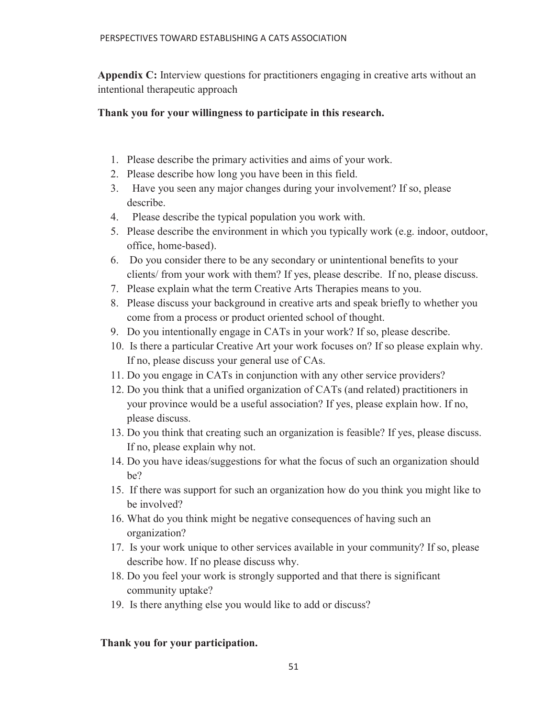**Appendix C:** Interview questions for practitioners engaging in creative arts without an intentional therapeutic approach

# **Thank you for your willingness to participate in this research.**

- 1. Please describe the primary activities and aims of your work.
- 2. Please describe how long you have been in this field.
- 3. Have you seen any major changes during your involvement? If so, please describe.
- 4. Please describe the typical population you work with.
- 5. Please describe the environment in which you typically work (e.g. indoor, outdoor, office, home-based).
- 6. Do you consider there to be any secondary or unintentional benefits to your clients/ from your work with them? If yes, please describe. If no, please discuss.
- 7. Please explain what the term Creative Arts Therapies means to you.
- 8. Please discuss your background in creative arts and speak briefly to whether you come from a process or product oriented school of thought.
- 9. Do you intentionally engage in CATs in your work? If so, please describe.
- 10. Is there a particular Creative Art your work focuses on? If so please explain why. If no, please discuss your general use of CAs.
- 11. Do you engage in CATs in conjunction with any other service providers?
- 12. Do you think that a unified organization of CATs (and related) practitioners in your province would be a useful association? If yes, please explain how. If no, please discuss.
- 13. Do you think that creating such an organization is feasible? If yes, please discuss. If no, please explain why not.
- 14. Do you have ideas/suggestions for what the focus of such an organization should be?
- 15. If there was support for such an organization how do you think you might like to be involved?
- 16. What do you think might be negative consequences of having such an organization?
- 17. Is your work unique to other services available in your community? If so, please describe how. If no please discuss why.
- 18. Do you feel your work is strongly supported and that there is significant community uptake?
- 19. Is there anything else you would like to add or discuss?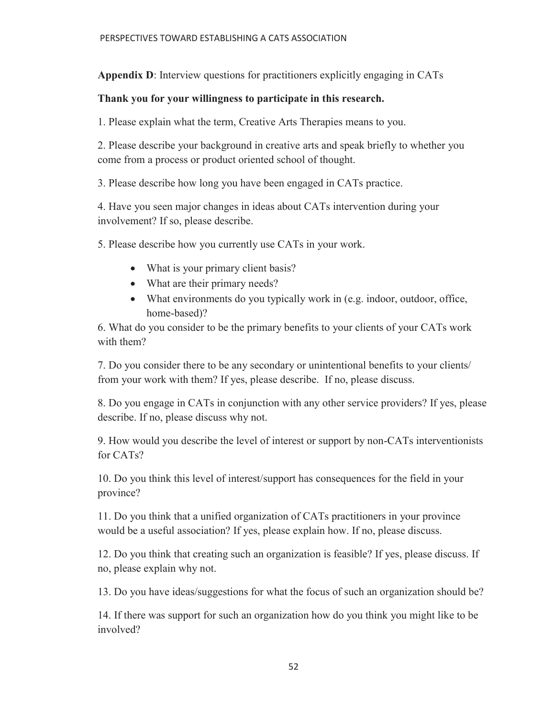**Appendix D**: Interview questions for practitioners explicitly engaging in CATs

# **Thank you for your willingness to participate in this research.**

1. Please explain what the term, Creative Arts Therapies means to you.

2. Please describe your background in creative arts and speak briefly to whether you come from a process or product oriented school of thought.

3. Please describe how long you have been engaged in CATs practice.

4. Have you seen major changes in ideas about CATs intervention during your involvement? If so, please describe.

5. Please describe how you currently use CATs in your work.

- What is your primary client basis?
- What are their primary needs?
- What environments do you typically work in (e.g. indoor, outdoor, office, home-based)?

6. What do you consider to be the primary benefits to your clients of your CATs work with them?

7. Do you consider there to be any secondary or unintentional benefits to your clients/ from your work with them? If yes, please describe. If no, please discuss.

8. Do you engage in CATs in conjunction with any other service providers? If yes, please describe. If no, please discuss why not.

9. How would you describe the level of interest or support by non-CATs interventionists for CATs?

10. Do you think this level of interest/support has consequences for the field in your province?

11. Do you think that a unified organization of CATs practitioners in your province would be a useful association? If yes, please explain how. If no, please discuss.

12. Do you think that creating such an organization is feasible? If yes, please discuss. If no, please explain why not.

13. Do you have ideas/suggestions for what the focus of such an organization should be?

14. If there was support for such an organization how do you think you might like to be involved?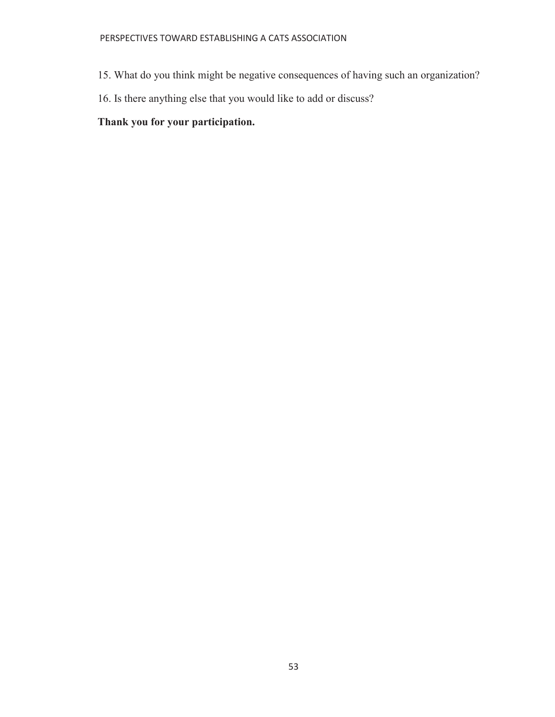- 15. What do you think might be negative consequences of having such an organization?
- 16. Is there anything else that you would like to add or discuss?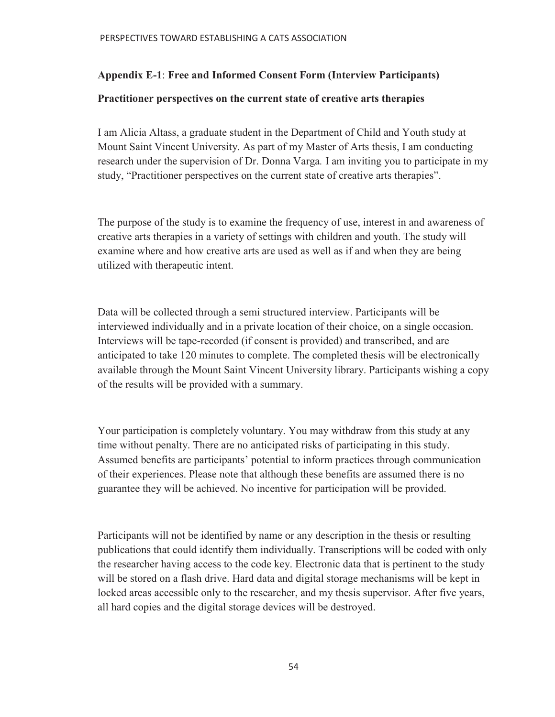# **Appendix E-1**: **Free and Informed Consent Form (Interview Participants)**

## **Practitioner perspectives on the current state of creative arts therapies**

I am Alicia Altass, a graduate student in the Department of Child and Youth study at Mount Saint Vincent University. As part of my Master of Arts thesis, I am conducting research under the supervision of Dr. Donna Varga*.* I am inviting you to participate in my study, "Practitioner perspectives on the current state of creative arts therapies".

The purpose of the study is to examine the frequency of use, interest in and awareness of creative arts therapies in a variety of settings with children and youth. The study will examine where and how creative arts are used as well as if and when they are being utilized with therapeutic intent.

Data will be collected through a semi structured interview. Participants will be interviewed individually and in a private location of their choice, on a single occasion. Interviews will be tape-recorded (if consent is provided) and transcribed, and are anticipated to take 120 minutes to complete. The completed thesis will be electronically available through the Mount Saint Vincent University library. Participants wishing a copy of the results will be provided with a summary.

Your participation is completely voluntary. You may withdraw from this study at any time without penalty. There are no anticipated risks of participating in this study. Assumed benefits are participants' potential to inform practices through communication of their experiences. Please note that although these benefits are assumed there is no guarantee they will be achieved. No incentive for participation will be provided.

Participants will not be identified by name or any description in the thesis or resulting publications that could identify them individually. Transcriptions will be coded with only the researcher having access to the code key. Electronic data that is pertinent to the study will be stored on a flash drive. Hard data and digital storage mechanisms will be kept in locked areas accessible only to the researcher, and my thesis supervisor. After five years, all hard copies and the digital storage devices will be destroyed.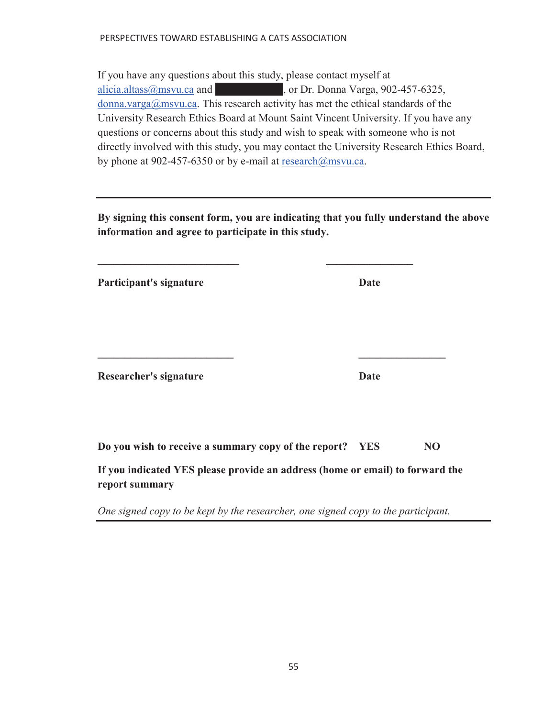If you have any questions about this study, please contact myself at  $alicia.altass@msvu.ca. and$ , or Dr. Donna Varga, 902-457-6325,  $\frac{\text{domain.}\varphi}{\text{domain.}}$  donna.varga@msvu.ca. This research activity has met the ethical standards of the University Research Ethics Board at Mount Saint Vincent University. If you have any questions or concerns about this study and wish to speak with someone who is not directly involved with this study, you may contact the University Research Ethics Board, by phone at 902-457-6350 or by e-mail at research@msvu.ca.

**By signing this consent form, you are indicating that you fully understand the above information and agree to participate in this study.** 

 $\mathcal{L} = \{ \mathcal{L} \mid \mathcal{L} \in \mathcal{L} \}$ 

**Participant's signature Date** 

**Researcher's signature Date** 

**Do you wish to receive a summary copy of the report? YES NO** 

 $\mathcal{L} = \{ \mathcal{L} \in \mathcal{L} \mid \mathcal{L} \in \mathcal{L} \}$ 

**If you indicated YES please provide an address (home or email) to forward the report summary** 

*One signed copy to be kept by the researcher, one signed copy to the participant.*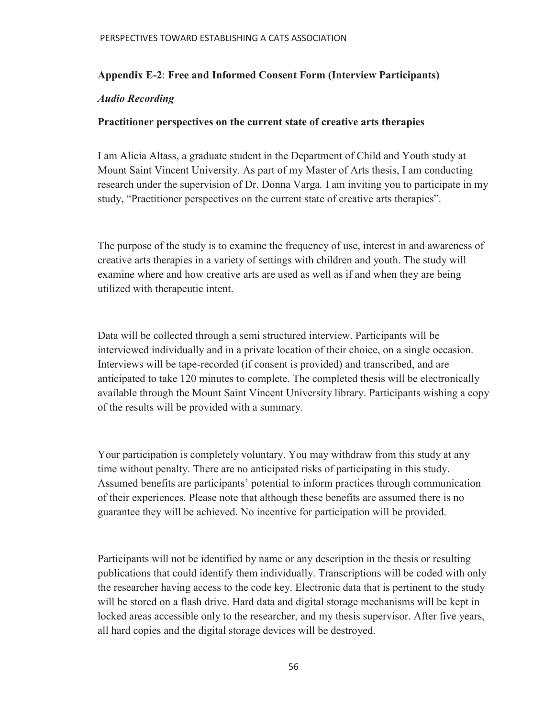## **Appendix E-2**: **Free and Informed Consent Form (Interview Participants)**

## *Audio Recording*

## **Practitioner perspectives on the current state of creative arts therapies**

I am Alicia Altass, a graduate student in the Department of Child and Youth study at Mount Saint Vincent University. As part of my Master of Arts thesis, I am conducting research under the supervision of Dr. Donna Varga*.* I am inviting you to participate in my study, "Practitioner perspectives on the current state of creative arts therapies".

The purpose of the study is to examine the frequency of use, interest in and awareness of creative arts therapies in a variety of settings with children and youth. The study will examine where and how creative arts are used as well as if and when they are being utilized with therapeutic intent.

Data will be collected through a semi structured interview. Participants will be interviewed individually and in a private location of their choice, on a single occasion. Interviews will be tape-recorded (if consent is provided) and transcribed, and are anticipated to take 120 minutes to complete. The completed thesis will be electronically available through the Mount Saint Vincent University library. Participants wishing a copy of the results will be provided with a summary.

Your participation is completely voluntary. You may withdraw from this study at any time without penalty. There are no anticipated risks of participating in this study. Assumed benefits are participants' potential to inform practices through communication of their experiences. Please note that although these benefits are assumed there is no guarantee they will be achieved. No incentive for participation will be provided.

Participants will not be identified by name or any description in the thesis or resulting publications that could identify them individually. Transcriptions will be coded with only the researcher having access to the code key. Electronic data that is pertinent to the study will be stored on a flash drive. Hard data and digital storage mechanisms will be kept in locked areas accessible only to the researcher, and my thesis supervisor. After five years, all hard copies and the digital storage devices will be destroyed.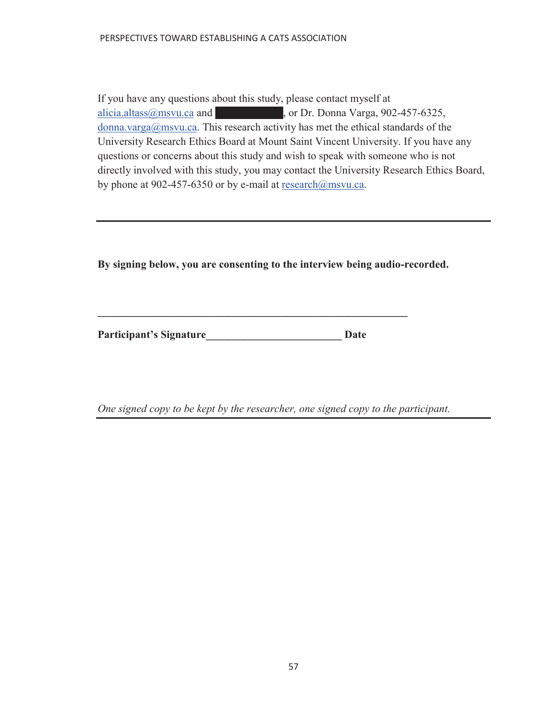If you have any questions about this study, please contact myself at alicia.altass@msvu.ca and  $\blacksquare$  or Dr. Donna Varga, 902-457-6325, donna.varga@msvu.ca. This research activity has met the ethical standards of the University Research Ethics Board at Mount Saint Vincent University. If you have any questions or concerns about this study and wish to speak with someone who is not directly involved with this study, you may contact the University Research Ethics Board, by phone at 902-457-6350 or by e-mail at research@msvu.ca.

**By signing below, you are consenting to the interview being audio-recorded.** 

Participant's Signature **Date** 

**\_\_\_\_\_\_\_\_\_\_\_\_\_\_\_\_\_\_\_\_\_\_\_\_\_\_\_\_\_\_\_\_\_\_\_\_\_\_\_\_\_\_\_\_\_\_\_\_\_\_\_\_\_\_\_\_\_** 

*One signed copy to be kept by the researcher, one signed copy to the participant.*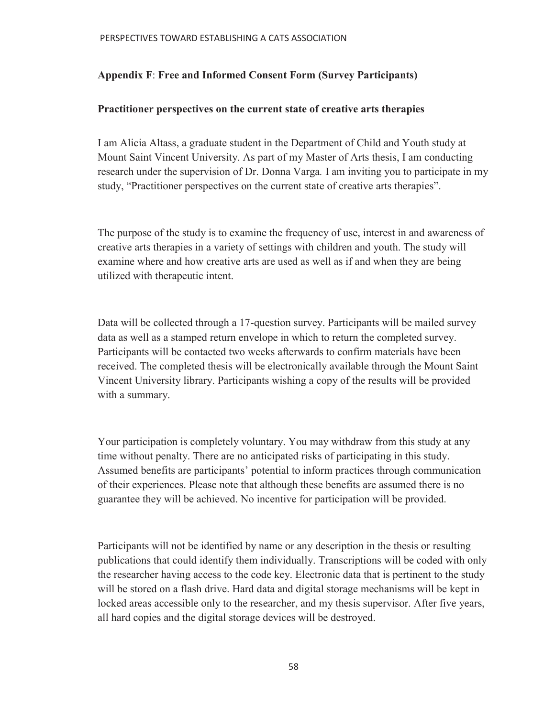# **Appendix F**: **Free and Informed Consent Form (Survey Participants)**

## **Practitioner perspectives on the current state of creative arts therapies**

I am Alicia Altass, a graduate student in the Department of Child and Youth study at Mount Saint Vincent University. As part of my Master of Arts thesis, I am conducting research under the supervision of Dr. Donna Varga*.* I am inviting you to participate in my study, "Practitioner perspectives on the current state of creative arts therapies".

The purpose of the study is to examine the frequency of use, interest in and awareness of creative arts therapies in a variety of settings with children and youth. The study will examine where and how creative arts are used as well as if and when they are being utilized with therapeutic intent.

Data will be collected through a 17-question survey. Participants will be mailed survey data as well as a stamped return envelope in which to return the completed survey. Participants will be contacted two weeks afterwards to confirm materials have been received. The completed thesis will be electronically available through the Mount Saint Vincent University library. Participants wishing a copy of the results will be provided with a summary.

Your participation is completely voluntary. You may withdraw from this study at any time without penalty. There are no anticipated risks of participating in this study. Assumed benefits are participants' potential to inform practices through communication of their experiences. Please note that although these benefits are assumed there is no guarantee they will be achieved. No incentive for participation will be provided.

Participants will not be identified by name or any description in the thesis or resulting publications that could identify them individually. Transcriptions will be coded with only the researcher having access to the code key. Electronic data that is pertinent to the study will be stored on a flash drive. Hard data and digital storage mechanisms will be kept in locked areas accessible only to the researcher, and my thesis supervisor. After five years, all hard copies and the digital storage devices will be destroyed.